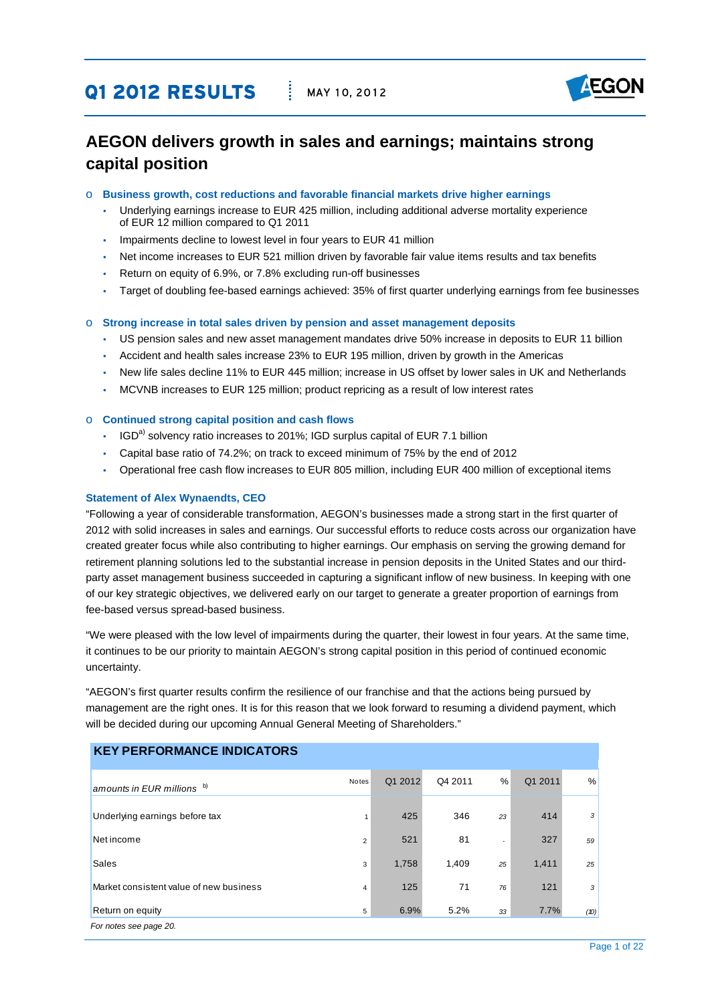# **Q1 2012 RESULTS** MAY 10, 2012



# **AEGON delivers growth in sales and earnings; maintains strong capital position**

- o **Business growth, cost reductions and favorable financial markets drive higher earnings** 
	- Underlying earnings increase to EUR 425 million, including additional adverse mortality experience of EUR 12 million compared to Q1 2011
	- Impairments decline to lowest level in four years to EUR 41 million
	- Net income increases to EUR 521 million driven by favorable fair value items results and tax benefits
	- Return on equity of 6.9%, or 7.8% excluding run-off businesses
	- Target of doubling fee-based earnings achieved: 35% of first quarter underlying earnings from fee businesses

### o **Strong increase in total sales driven by pension and asset management deposits**

- US pension sales and new asset management mandates drive 50% increase in deposits to EUR 11 billion
- Accident and health sales increase 23% to EUR 195 million, driven by growth in the Americas
- y New life sales decline 11% to EUR 445 million; increase in US offset by lower sales in UK and Netherlands
- MCVNB increases to EUR 125 million; product repricing as a result of low interest rates

#### o **Continued strong capital position and cash flows**

- $\cdot$  IGD<sup>a)</sup> solvency ratio increases to 201%; IGD surplus capital of EUR 7.1 billion
- Capital base ratio of 74.2%; on track to exceed minimum of 75% by the end of 2012
- y Operational free cash flow increases to EUR 805 million, including EUR 400 million of exceptional items

#### **Statement of Alex Wynaendts, CEO**

"Following a year of considerable transformation, AEGON's businesses made a strong start in the first quarter of 2012 with solid increases in sales and earnings. Our successful efforts to reduce costs across our organization have created greater focus while also contributing to higher earnings. Our emphasis on serving the growing demand for retirement planning solutions led to the substantial increase in pension deposits in the United States and our thirdparty asset management business succeeded in capturing a significant inflow of new business. In keeping with one of our key strategic objectives, we delivered early on our target to generate a greater proportion of earnings from fee-based versus spread-based business.

"We were pleased with the low level of impairments during the quarter, their lowest in four years. At the same time, it continues to be our priority to maintain AEGON's strong capital position in this period of continued economic uncertainty.

"AEGON's first quarter results confirm the resilience of our franchise and that the actions being pursued by management are the right ones. It is for this reason that we look forward to resuming a dividend payment, which will be decided during our upcoming Annual General Meeting of Shareholders."

| <b>KEY PERFORMANCE INDICATORS</b>       |                |         |         |                          |         |      |
|-----------------------------------------|----------------|---------|---------|--------------------------|---------|------|
| amounts in EUR millions b)              | <b>Notes</b>   | Q1 2012 | Q4 2011 | $\frac{0}{0}$            | Q1 2011 | $\%$ |
| Underlying earnings before tax          |                | 425     | 346     | 23                       | 414     | 3    |
| Net income                              | $\overline{2}$ | 521     | 81      | $\overline{\phantom{a}}$ | 327     | 59   |
| <b>Sales</b>                            | 3              | 1,758   | 1,409   | 25                       | 1,411   | 25   |
| Market consistent value of new business | 4              | 125     | 71      | 76                       | 121     | 3    |
| Return on equity                        | 5              | 6.9%    | 5.2%    | 33                       | 7.7%    | (10) |
| For notes see page 20.                  |                |         |         |                          |         |      |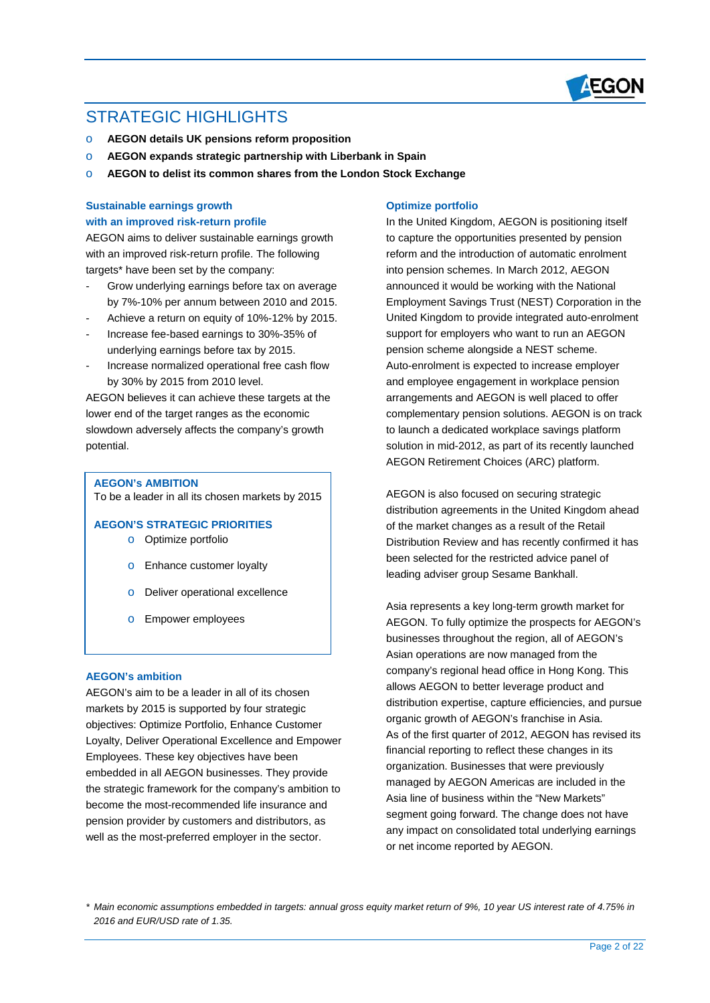

# STRATEGIC HIGHI IGHTS

 $\overline{a}$ 

- o **AEGON details UK pensions reform proposition**
- o **AEGON expands strategic partnership with Liberbank in Spain**
- o **AEGON to delist its common shares from the London Stock Exchange**

# **Sustainable earnings growth with an improved risk-return profile**

AEGON aims to deliver sustainable earnings growth with an improved risk-return profile. The following targets\* have been set by the company:

- Grow underlying earnings before tax on average by 7%-10% per annum between 2010 and 2015.
- Achieve a return on equity of 10%-12% by 2015.
- Increase fee-based earnings to 30%-35% of underlying earnings before tax by 2015.
- Increase normalized operational free cash flow by 30% by 2015 from 2010 level.

AEGON believes it can achieve these targets at the lower end of the target ranges as the economic slowdown adversely affects the company's growth potential.

#### **AEGON's AMBITION**

To be a leader in all its chosen markets by 2015

# **AEGON'S STRATEGIC PRIORITIES**

- o Optimize portfolio
- o Enhance customer loyalty
- o Deliver operational excellence
- o Empower employees

## **AEGON's ambition**

AEGON's aim to be a leader in all of its chosen markets by 2015 is supported by four strategic objectives: Optimize Portfolio, Enhance Customer Loyalty, Deliver Operational Excellence and Empower Employees. These key objectives have been embedded in all AEGON businesses. They provide the strategic framework for the company's ambition to become the most-recommended life insurance and pension provider by customers and distributors, as well as the most-preferred employer in the sector.

### **Optimize portfolio**

In the United Kingdom, AEGON is positioning itself to capture the opportunities presented by pension reform and the introduction of automatic enrolment into pension schemes. In March 2012, AEGON announced it would be working with the National Employment Savings Trust (NEST) Corporation in the United Kingdom to provide integrated auto-enrolment support for employers who want to run an AEGON pension scheme alongside a NEST scheme. Auto-enrolment is expected to increase employer and employee engagement in workplace pension arrangements and AEGON is well placed to offer complementary pension solutions. AEGON is on track to launch a dedicated workplace savings platform solution in mid-2012, as part of its recently launched AEGON Retirement Choices (ARC) platform.

AEGON is also focused on securing strategic distribution agreements in the United Kingdom ahead of the market changes as a result of the Retail Distribution Review and has recently confirmed it has been selected for the restricted advice panel of leading adviser group Sesame Bankhall.

Asia represents a key long-term growth market for AEGON. To fully optimize the prospects for AEGON's businesses throughout the region, all of AEGON's Asian operations are now managed from the company's regional head office in Hong Kong. This allows AEGON to better leverage product and distribution expertise, capture efficiencies, and pursue organic growth of AEGON's franchise in Asia. As of the first quarter of 2012, AEGON has revised its financial reporting to reflect these changes in its organization. Businesses that were previously managed by AEGON Americas are included in the Asia line of business within the "New Markets" segment going forward. The change does not have any impact on consolidated total underlying earnings or net income reported by AEGON.

*\* Main economic assumptions embedded in targets: annual gross equity market return of 9%, 10 year US interest rate of 4.75% in 2016 and EUR/USD rate of 1.35.*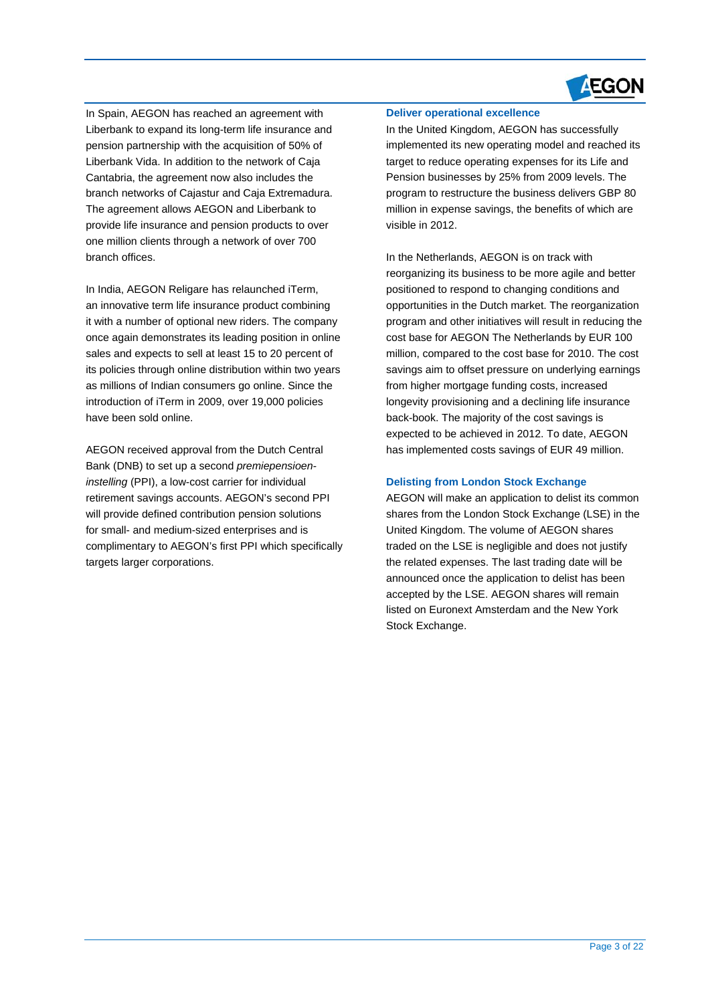

In Spain, AEGON has reached an agreement with Liberbank to expand its long-term life insurance and pension partnership with the acquisition of 50% of Liberbank Vida. In addition to the network of Caja Cantabria, the agreement now also includes the branch networks of Cajastur and Caja Extremadura. The agreement allows AEGON and Liberbank to provide life insurance and pension products to over one million clients through a network of over 700 branch offices.

 $\overline{a}$ 

In India, AEGON Religare has relaunched iTerm, an innovative term life insurance product combining it with a number of optional new riders. The company once again demonstrates its leading position in online sales and expects to sell at least 15 to 20 percent of its policies through online distribution within two years as millions of Indian consumers go online. Since the introduction of iTerm in 2009, over 19,000 policies have been sold online.

AEGON received approval from the Dutch Central Bank (DNB) to set up a second *premiepensioeninstelling* (PPI), a low-cost carrier for individual retirement savings accounts. AEGON's second PPI will provide defined contribution pension solutions for small- and medium-sized enterprises and is complimentary to AEGON's first PPI which specifically targets larger corporations.

#### **Deliver operational excellence**

In the United Kingdom, AEGON has successfully implemented its new operating model and reached its target to reduce operating expenses for its Life and Pension businesses by 25% from 2009 levels. The program to restructure the business delivers GBP 80 million in expense savings, the benefits of which are visible in 2012.

In the Netherlands, AEGON is on track with reorganizing its business to be more agile and better positioned to respond to changing conditions and opportunities in the Dutch market. The reorganization program and other initiatives will result in reducing the cost base for AEGON The Netherlands by EUR 100 million, compared to the cost base for 2010. The cost savings aim to offset pressure on underlying earnings from higher mortgage funding costs, increased longevity provisioning and a declining life insurance back-book. The majority of the cost savings is expected to be achieved in 2012. To date, AEGON has implemented costs savings of EUR 49 million.

### **Delisting from London Stock Exchange**

AEGON will make an application to delist its common shares from the London Stock Exchange (LSE) in the United Kingdom. The volume of AEGON shares traded on the LSE is negligible and does not justify the related expenses. The last trading date will be announced once the application to delist has been accepted by the LSE. AEGON shares will remain listed on Euronext Amsterdam and the New York Stock Exchange.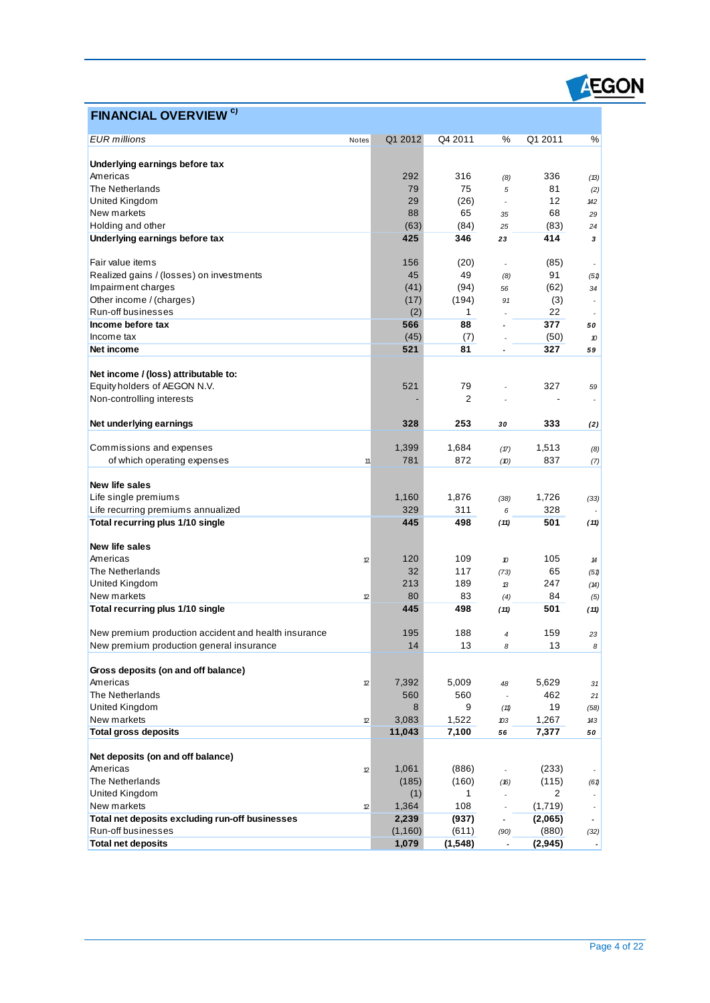

# **FINANCIAL OVERVIEW c)**

 $\overline{a}$ 

| <b>EUR</b> millions                                  | Notes        | Q1 2012  | Q4 2011        | $\%$                     | Q1 2011        | %                        |
|------------------------------------------------------|--------------|----------|----------------|--------------------------|----------------|--------------------------|
|                                                      |              |          |                |                          |                |                          |
| Underlying earnings before tax                       |              |          |                |                          |                |                          |
| Americas                                             |              | 292      | 316            | (8)                      | 336            | (13)                     |
| The Netherlands                                      |              | 79       | 75             | 5                        | 81             | (2)                      |
| United Kingdom                                       |              | 29       | (26)           | $\blacksquare$           | 12             | 142                      |
| New markets                                          |              | 88       | 65             | 35                       | 68             | 29                       |
| Holding and other                                    |              | (63)     | (84)           | 25                       | (83)           | 24                       |
| Underlying earnings before tax                       |              | 425      | 346            | 23                       | 414            | 3                        |
| Fair value items                                     |              | 156      | (20)           |                          | (85)           |                          |
| Realized gains / (losses) on investments             |              | 45       | 49             | (8)                      | 91             | (51)                     |
| Impairment charges                                   |              | (41)     | (94)           | 56                       | (62)           | 34                       |
| Other income / (charges)                             |              | (17)     | (194)          | 91                       | (3)            | $\overline{\phantom{a}}$ |
| Run-off businesses                                   |              | (2)      | 1              |                          | 22             |                          |
| Income before tax                                    |              | 566      | 88             |                          | 377            | 50                       |
| Income tax                                           |              | (45)     | (7)            |                          | (50)           | 10                       |
| Net income                                           |              | 521      | 81             |                          | 327            | 59                       |
|                                                      |              |          |                |                          |                |                          |
| Net income / (loss) attributable to:                 |              |          |                |                          |                |                          |
| Equity holders of AEGON N.V.                         |              | 521      | 79             |                          | 327            | 59                       |
| Non-controlling interests                            |              |          | $\overline{2}$ |                          |                | $\overline{\phantom{a}}$ |
| Net underlying earnings                              |              | 328      | 253            | 30                       | 333            | (2)                      |
|                                                      |              |          |                |                          |                |                          |
| Commissions and expenses                             |              | 1,399    | 1,684          | (17)                     | 1,513          | (8)                      |
| of which operating expenses                          | 11           | 781      | 872            | (D)                      | 837            | (7)                      |
|                                                      |              |          |                |                          |                |                          |
| <b>New life sales</b>                                |              |          |                |                          |                |                          |
| Life single premiums                                 |              | 1,160    | 1,876          | (38)                     | 1,726          | (33)                     |
| Life recurring premiums annualized                   |              | 329      | 311            | 6                        | 328            |                          |
| Total recurring plus 1/10 single                     |              | 445      | 498            | (11)                     | 501            | (11)                     |
|                                                      |              |          |                |                          |                |                          |
| <b>New life sales</b>                                |              |          |                |                          |                |                          |
| Americas                                             | 12           | 120      | 109            | 10                       | 105            | 14                       |
| The Netherlands                                      |              | 32       | 117            | (73)                     | 65             | (51)                     |
| United Kingdom                                       |              | 213      | 189            | $\mathcal{B}$            | 247            | (A)                      |
| New markets                                          | 12           | 80       | 83             | (4)                      | 84             | (5)                      |
| Total recurring plus 1/10 single                     |              | 445      | 498            | (11)                     | 501            | (11)                     |
| New premium production accident and health insurance |              | 195      | 188            | $\overline{4}$           | 159            | 23                       |
| New premium production general insurance             |              | 14       | 13             | 8                        | 13             | 8                        |
|                                                      |              |          |                |                          |                |                          |
| Gross deposits (on and off balance)                  |              |          |                |                          |                |                          |
| Americas                                             | 12           | 7,392    | 5,009          | 48                       | 5,629          | 31                       |
| The Netherlands                                      |              | 560      | 560            | $\overline{\phantom{a}}$ | 462            | 21                       |
| United Kingdom                                       |              | 8        | 9              | (11)                     | 19             | (58)                     |
| New markets                                          | 12           | 3,083    | 1,522          | 103                      | 1,267          | 143                      |
| <b>Total gross deposits</b>                          |              | 11,043   | 7,100          | 56                       | 7,377          | 50                       |
|                                                      |              |          |                |                          |                |                          |
| Net deposits (on and off balance)                    |              |          |                |                          |                |                          |
| Americas                                             | $\mathbf{r}$ | 1,061    | (886)          | $\sim$                   | (233)          |                          |
| The Netherlands                                      |              | (185)    | (160)          | (16)                     | (115)          | (61)                     |
| United Kingdom                                       |              | (1)      | 1              | $\overline{\phantom{a}}$ | $\overline{2}$ | $\overline{\phantom{a}}$ |
| New markets                                          | 12           | 1,364    | 108            |                          | (1,719)        | $\overline{\phantom{a}}$ |
| Total net deposits excluding run-off businesses      |              | 2,239    | (937)          | $\overline{\phantom{a}}$ | (2,065)        | $\overline{\phantom{a}}$ |
| Run-off businesses                                   |              | (1, 160) | (611)          | (90)                     | (880)          | (32)                     |
| <b>Total net deposits</b>                            |              | 1,079    | (1,548)        |                          | (2, 945)       |                          |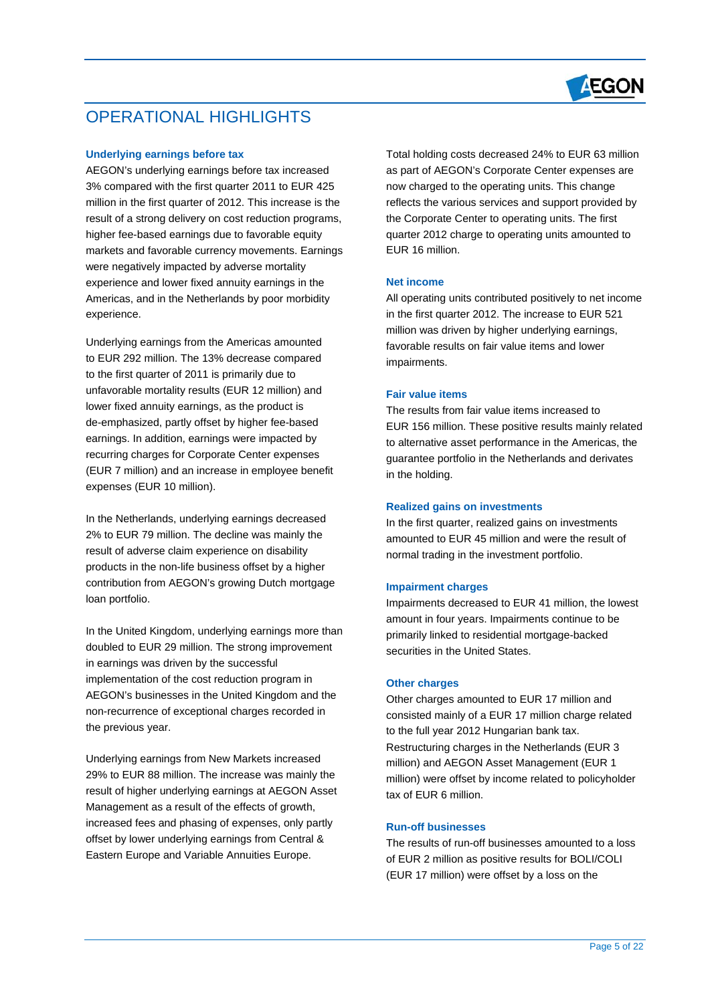

# OPERATIONAL HIGHLIGHTS

## **Underlying earnings before tax**

 $\overline{a}$ 

AEGON's underlying earnings before tax increased 3% compared with the first quarter 2011 to EUR 425 million in the first quarter of 2012. This increase is the result of a strong delivery on cost reduction programs, higher fee-based earnings due to favorable equity markets and favorable currency movements. Earnings were negatively impacted by adverse mortality experience and lower fixed annuity earnings in the Americas, and in the Netherlands by poor morbidity experience.

Underlying earnings from the Americas amounted to EUR 292 million. The 13% decrease compared to the first quarter of 2011 is primarily due to unfavorable mortality results (EUR 12 million) and lower fixed annuity earnings, as the product is de-emphasized, partly offset by higher fee-based earnings. In addition, earnings were impacted by recurring charges for Corporate Center expenses (EUR 7 million) and an increase in employee benefit expenses (EUR 10 million).

In the Netherlands, underlying earnings decreased 2% to EUR 79 million. The decline was mainly the result of adverse claim experience on disability products in the non-life business offset by a higher contribution from AEGON's growing Dutch mortgage loan portfolio.

In the United Kingdom, underlying earnings more than doubled to EUR 29 million. The strong improvement in earnings was driven by the successful implementation of the cost reduction program in AEGON's businesses in the United Kingdom and the non-recurrence of exceptional charges recorded in the previous year.

Underlying earnings from New Markets increased 29% to EUR 88 million. The increase was mainly the result of higher underlying earnings at AEGON Asset Management as a result of the effects of growth, increased fees and phasing of expenses, only partly offset by lower underlying earnings from Central & Eastern Europe and Variable Annuities Europe.

Total holding costs decreased 24% to EUR 63 million as part of AEGON's Corporate Center expenses are now charged to the operating units. This change reflects the various services and support provided by the Corporate Center to operating units. The first quarter 2012 charge to operating units amounted to EUR 16 million.

### **Net income**

All operating units contributed positively to net income in the first quarter 2012. The increase to EUR 521 million was driven by higher underlying earnings, favorable results on fair value items and lower impairments.

#### **Fair value items**

The results from fair value items increased to EUR 156 million. These positive results mainly related to alternative asset performance in the Americas, the guarantee portfolio in the Netherlands and derivates in the holding.

#### **Realized gains on investments**

In the first quarter, realized gains on investments amounted to EUR 45 million and were the result of normal trading in the investment portfolio.

#### **Impairment charges**

Impairments decreased to EUR 41 million, the lowest amount in four years. Impairments continue to be primarily linked to residential mortgage-backed securities in the United States.

## **Other charges**

Other charges amounted to EUR 17 million and consisted mainly of a EUR 17 million charge related to the full year 2012 Hungarian bank tax. Restructuring charges in the Netherlands (EUR 3 million) and AEGON Asset Management (EUR 1 million) were offset by income related to policyholder tax of EUR 6 million.

### **Run-off businesses**

The results of run-off businesses amounted to a loss of EUR 2 million as positive results for BOLI/COLI (EUR 17 million) were offset by a loss on the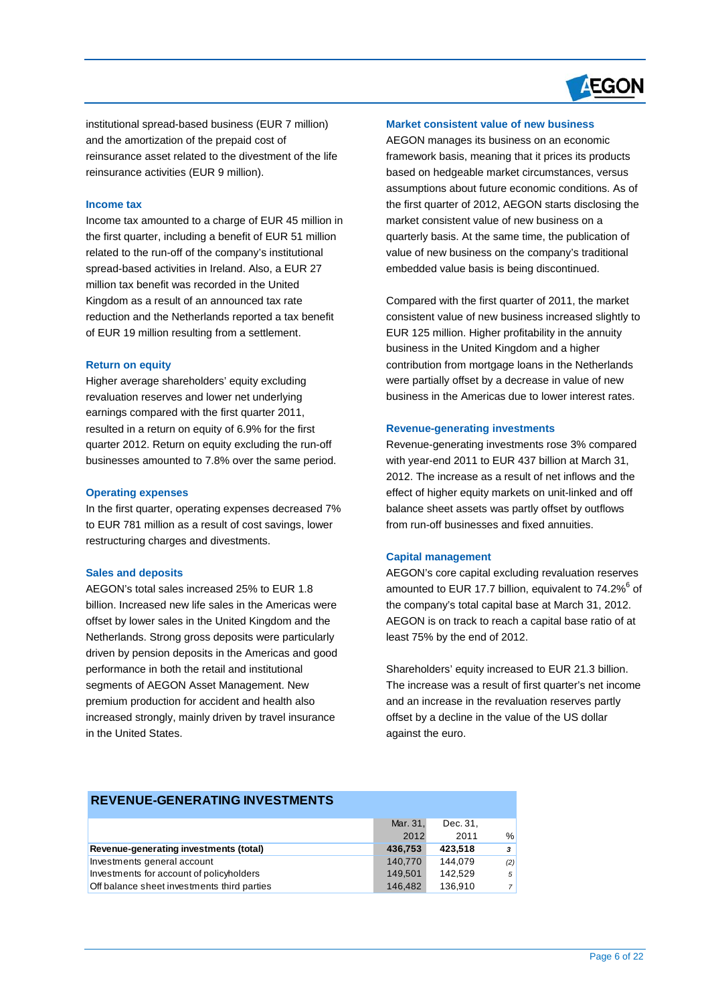

institutional spread-based business (EUR 7 million) and the amortization of the prepaid cost of reinsurance asset related to the divestment of the life reinsurance activities (EUR 9 million).

#### **Income tax**

 $\overline{a}$ 

Income tax amounted to a charge of EUR 45 million in the first quarter, including a benefit of EUR 51 million related to the run-off of the company's institutional spread-based activities in Ireland. Also, a EUR 27 million tax benefit was recorded in the United Kingdom as a result of an announced tax rate reduction and the Netherlands reported a tax benefit of EUR 19 million resulting from a settlement.

#### **Return on equity**

Higher average shareholders' equity excluding revaluation reserves and lower net underlying earnings compared with the first quarter 2011, resulted in a return on equity of 6.9% for the first quarter 2012. Return on equity excluding the run-off businesses amounted to 7.8% over the same period.

#### **Operating expenses**

In the first quarter, operating expenses decreased 7% to EUR 781 million as a result of cost savings, lower restructuring charges and divestments.

#### **Sales and deposits**

AEGON's total sales increased 25% to EUR 1.8 billion. Increased new life sales in the Americas were offset by lower sales in the United Kingdom and the Netherlands. Strong gross deposits were particularly driven by pension deposits in the Americas and good performance in both the retail and institutional segments of AEGON Asset Management. New premium production for accident and health also increased strongly, mainly driven by travel insurance in the United States.

# **Market consistent value of new business**

AEGON manages its business on an economic framework basis, meaning that it prices its products based on hedgeable market circumstances, versus assumptions about future economic conditions. As of the first quarter of 2012, AEGON starts disclosing the market consistent value of new business on a quarterly basis. At the same time, the publication of value of new business on the company's traditional embedded value basis is being discontinued.

Compared with the first quarter of 2011, the market consistent value of new business increased slightly to EUR 125 million. Higher profitability in the annuity business in the United Kingdom and a higher contribution from mortgage loans in the Netherlands were partially offset by a decrease in value of new business in the Americas due to lower interest rates.

#### **Revenue-generating investments**

Revenue-generating investments rose 3% compared with year-end 2011 to EUR 437 billion at March 31, 2012. The increase as a result of net inflows and the effect of higher equity markets on unit-linked and off balance sheet assets was partly offset by outflows from run-off businesses and fixed annuities.

#### **Capital management**

AEGON's core capital excluding revaluation reserves amounted to EUR 17.7 billion, equivalent to 74.2%<sup>6</sup> of the company's total capital base at March 31, 2012. AEGON is on track to reach a capital base ratio of at least 75% by the end of 2012.

Shareholders' equity increased to EUR 21.3 billion. The increase was a result of first quarter's net income and an increase in the revaluation reserves partly offset by a decline in the value of the US dollar against the euro.

# **REVENUE-GENERATING INVESTMENTS** Mar. 31, Dec. 31, 2012 2011 % **Revenue-generating investments (total) 436,753 423,518** *3* Investments general account 140,770 144,079 *(2)* Investments for account of policyholders 149,501 142,529 5 Off balance sheet investments third parties 146,482 136,910 7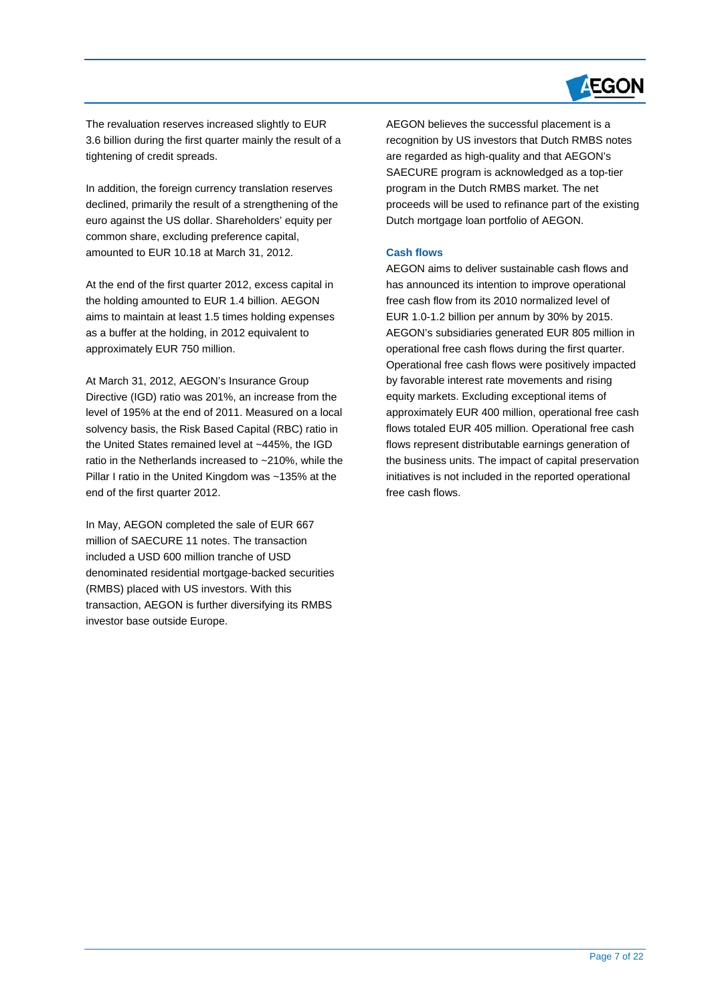

The revaluation reserves increased slightly to EUR 3.6 billion during the first quarter mainly the result of a tightening of credit spreads.

 $\overline{a}$ 

In addition, the foreign currency translation reserves declined, primarily the result of a strengthening of the euro against the US dollar. Shareholders' equity per common share, excluding preference capital, amounted to EUR 10.18 at March 31, 2012.

At the end of the first quarter 2012, excess capital in the holding amounted to EUR 1.4 billion. AEGON aims to maintain at least 1.5 times holding expenses as a buffer at the holding, in 2012 equivalent to approximately EUR 750 million.

At March 31, 2012, AEGON's Insurance Group Directive (IGD) ratio was 201%, an increase from the level of 195% at the end of 2011. Measured on a local solvency basis, the Risk Based Capital (RBC) ratio in the United States remained level at ~445%, the IGD ratio in the Netherlands increased to ~210%, while the Pillar I ratio in the United Kingdom was ~135% at the end of the first quarter 2012.

In May, AEGON completed the sale of EUR 667 million of SAECURE 11 notes. The transaction included a USD 600 million tranche of USD denominated residential mortgage-backed securities (RMBS) placed with US investors. With this transaction, AEGON is further diversifying its RMBS investor base outside Europe.

AEGON believes the successful placement is a recognition by US investors that Dutch RMBS notes are regarded as high-quality and that AEGON's SAECURE program is acknowledged as a top-tier program in the Dutch RMBS market. The net proceeds will be used to refinance part of the existing Dutch mortgage loan portfolio of AEGON.

# **Cash flows**

AEGON aims to deliver sustainable cash flows and has announced its intention to improve operational free cash flow from its 2010 normalized level of EUR 1.0-1.2 billion per annum by 30% by 2015. AEGON's subsidiaries generated EUR 805 million in operational free cash flows during the first quarter. Operational free cash flows were positively impacted by favorable interest rate movements and rising equity markets. Excluding exceptional items of approximately EUR 400 million, operational free cash flows totaled EUR 405 million. Operational free cash flows represent distributable earnings generation of the business units. The impact of capital preservation initiatives is not included in the reported operational free cash flows.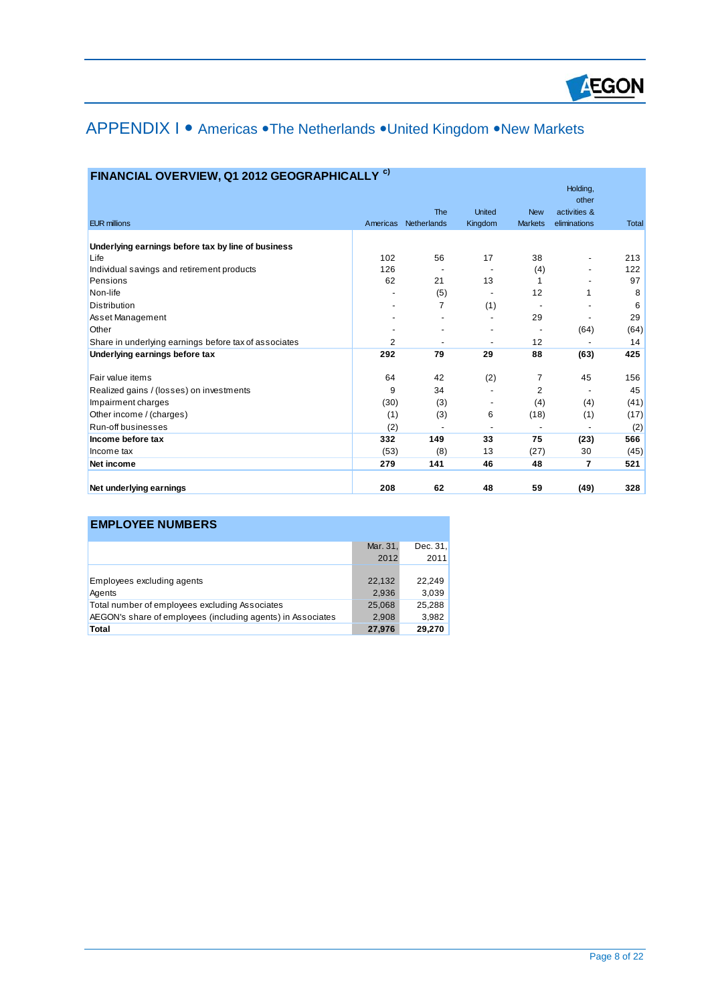

# APPENDIX I • Americas • The Netherlands • United Kingdom • New Markets

| <b>EUR millions</b>                                   | Americas | <b>The</b><br>Netherlands | <b>United</b><br>Kingdom | <b>New</b><br><b>Markets</b> | Holding,<br>other<br>activities &<br>eliminations | <b>Total</b> |
|-------------------------------------------------------|----------|---------------------------|--------------------------|------------------------------|---------------------------------------------------|--------------|
|                                                       |          |                           |                          |                              |                                                   |              |
| Underlying earnings before tax by line of business    |          |                           |                          |                              |                                                   |              |
| Life                                                  | 102      | 56                        | 17                       | 38                           | $\overline{\phantom{a}}$                          | 213          |
| Individual savings and retirement products            | 126      |                           |                          | (4)                          |                                                   | 122          |
| Pensions                                              | 62       | 21                        | 13                       | 1                            |                                                   | 97           |
| Non-life                                              |          | (5)                       |                          | 12                           |                                                   | 8            |
| <b>Distribution</b>                                   |          | 7                         | (1)                      |                              |                                                   | 6            |
| Asset Management                                      |          |                           |                          | 29                           |                                                   | 29           |
| Other                                                 |          |                           |                          |                              | (64)                                              | (64)         |
| Share in underlying earnings before tax of associates | 2        |                           | $\overline{\phantom{a}}$ | 12                           |                                                   | 14           |
| Underlying earnings before tax                        | 292      | 79                        | 29                       | 88                           | (63)                                              | 425          |
| Fair value items                                      | 64       | 42                        | (2)                      | 7                            | 45                                                | 156          |
| Realized gains / (losses) on investments              | 9        | 34                        |                          | 2                            |                                                   | 45           |
| Impairment charges                                    | (30)     | (3)                       |                          | (4)                          | (4)                                               | (41)         |
| Other income / (charges)                              | (1)      | (3)                       | 6                        | (18)                         | (1)                                               | (17)         |
| Run-off businesses                                    | (2)      |                           |                          |                              |                                                   | (2)          |
| Income before tax                                     | 332      | 149                       | 33                       | 75                           | (23)                                              | 566          |
| Income tax                                            | (53)     | (8)                       | 13                       | (27)                         | 30                                                | (45)         |
| Net income                                            | 279      | 141                       | 46                       | 48                           | $\overline{7}$                                    | 521          |
| Net underlying earnings                               | 208      | 62                        | 48                       | 59                           | (49)                                              | 328          |

# **FINANCIAL OVERVIEW, Q1 2012 GEOGRAPHICALLY c)**

 $\overline{a}$ 

| <b>EMPLOYEE NUMBERS</b>                                     |                  |                    |
|-------------------------------------------------------------|------------------|--------------------|
|                                                             | Mar. 31,<br>2012 | Dec. $31.$<br>2011 |
| Employees excluding agents<br>Agents                        | 22,132<br>2,936  | 22,249<br>3,039    |
| Total number of employees excluding Associates              | 25,068           | 25,288             |
| AEGON's share of employees (including agents) in Associates | 2,908            | 3,982              |
| Total                                                       | 27,976           | 29,270             |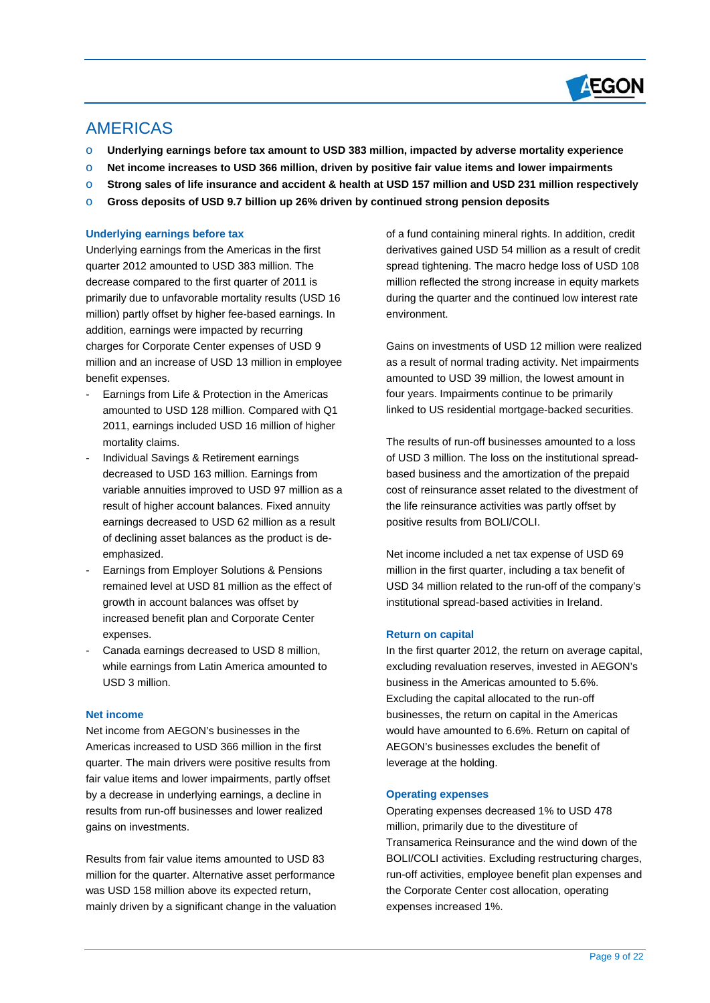

# AMERICAS

 $\overline{a}$ 

- o **Underlying earnings before tax amount to USD 383 million, impacted by adverse mortality experience**
- o **Net income increases to USD 366 million, driven by positive fair value items and lower impairments**
- o **Strong sales of life insurance and accident & health at USD 157 million and USD 231 million respectively**
- o **Gross deposits of USD 9.7 billion up 26% driven by continued strong pension deposits**

# **Underlying earnings before tax**

Underlying earnings from the Americas in the first quarter 2012 amounted to USD 383 million. The decrease compared to the first quarter of 2011 is primarily due to unfavorable mortality results (USD 16 million) partly offset by higher fee-based earnings. In addition, earnings were impacted by recurring charges for Corporate Center expenses of USD 9 million and an increase of USD 13 million in employee benefit expenses.

- Earnings from Life & Protection in the Americas amounted to USD 128 million. Compared with Q1 2011, earnings included USD 16 million of higher mortality claims.
- Individual Savings & Retirement earnings decreased to USD 163 million. Earnings from variable annuities improved to USD 97 million as a result of higher account balances. Fixed annuity earnings decreased to USD 62 million as a result of declining asset balances as the product is deemphasized.
- Earnings from Employer Solutions & Pensions remained level at USD 81 million as the effect of growth in account balances was offset by increased benefit plan and Corporate Center expenses.
- Canada earnings decreased to USD 8 million, while earnings from Latin America amounted to USD 3 million.

# **Net income**

Net income from AEGON's businesses in the Americas increased to USD 366 million in the first quarter. The main drivers were positive results from fair value items and lower impairments, partly offset by a decrease in underlying earnings, a decline in results from run-off businesses and lower realized gains on investments.

Results from fair value items amounted to USD 83 million for the quarter. Alternative asset performance was USD 158 million above its expected return, mainly driven by a significant change in the valuation of a fund containing mineral rights. In addition, credit derivatives gained USD 54 million as a result of credit spread tightening. The macro hedge loss of USD 108 million reflected the strong increase in equity markets during the quarter and the continued low interest rate environment.

Gains on investments of USD 12 million were realized as a result of normal trading activity. Net impairments amounted to USD 39 million, the lowest amount in four years. Impairments continue to be primarily linked to US residential mortgage-backed securities.

The results of run-off businesses amounted to a loss of USD 3 million. The loss on the institutional spreadbased business and the amortization of the prepaid cost of reinsurance asset related to the divestment of the life reinsurance activities was partly offset by positive results from BOLI/COLI.

Net income included a net tax expense of USD 69 million in the first quarter, including a tax benefit of USD 34 million related to the run-off of the company's institutional spread-based activities in Ireland.

# **Return on capital**

In the first quarter 2012, the return on average capital, excluding revaluation reserves, invested in AEGON's business in the Americas amounted to 5.6%. Excluding the capital allocated to the run-off businesses, the return on capital in the Americas would have amounted to 6.6%. Return on capital of AEGON's businesses excludes the benefit of leverage at the holding.

#### **Operating expenses**

Operating expenses decreased 1% to USD 478 million, primarily due to the divestiture of Transamerica Reinsurance and the wind down of the BOLI/COLI activities. Excluding restructuring charges, run-off activities, employee benefit plan expenses and the Corporate Center cost allocation, operating expenses increased 1%.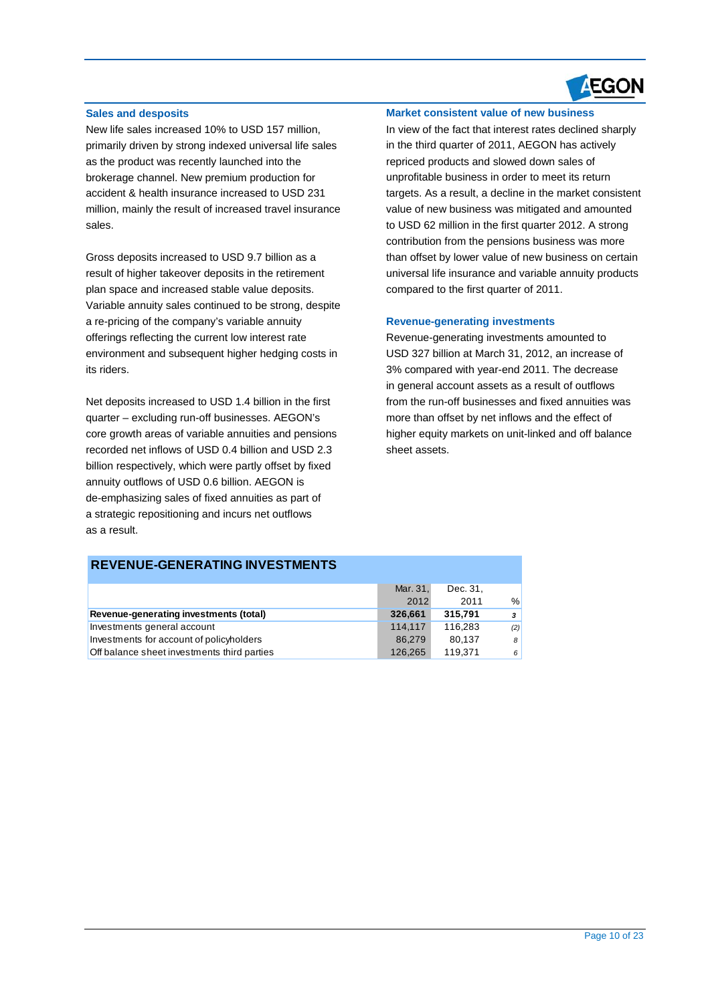

## **Sales and desposits**

 $\overline{a}$ 

New life sales increased 10% to USD 157 million, primarily driven by strong indexed universal life sales as the product was recently launched into the brokerage channel. New premium production for accident & health insurance increased to USD 231 million, mainly the result of increased travel insurance sales.

Gross deposits increased to USD 9.7 billion as a result of higher takeover deposits in the retirement plan space and increased stable value deposits. Variable annuity sales continued to be strong, despite a re-pricing of the company's variable annuity offerings reflecting the current low interest rate environment and subsequent higher hedging costs in its riders.

Net deposits increased to USD 1.4 billion in the first quarter – excluding run-off businesses. AEGON's core growth areas of variable annuities and pensions recorded net inflows of USD 0.4 billion and USD 2.3 billion respectively, which were partly offset by fixed annuity outflows of USD 0.6 billion. AEGON is de-emphasizing sales of fixed annuities as part of a strategic repositioning and incurs net outflows as a result.

### **Market consistent value of new business**

In view of the fact that interest rates declined sharply in the third quarter of 2011, AEGON has actively repriced products and slowed down sales of unprofitable business in order to meet its return targets. As a result, a decline in the market consistent value of new business was mitigated and amounted to USD 62 million in the first quarter 2012. A strong contribution from the pensions business was more than offset by lower value of new business on certain universal life insurance and variable annuity products compared to the first quarter of 2011.

#### **Revenue-generating investments**

Revenue-generating investments amounted to USD 327 billion at March 31, 2012, an increase of 3% compared with year-end 2011. The decrease in general account assets as a result of outflows from the run-off businesses and fixed annuities was more than offset by net inflows and the effect of higher equity markets on unit-linked and off balance sheet assets.

# **REVENUE-GENERATING INVESTMENTS**

|                                             | Mar. 31, | Dec. 31. |               |
|---------------------------------------------|----------|----------|---------------|
|                                             | 2012     | 2011     | $\frac{0}{0}$ |
| Revenue-generating investments (total)      | 326,661  | 315.791  | $\mathbf{3}$  |
| Investments general account                 | 114.117  | 116.283  | (2)           |
| Investments for account of policyholders    | 86.279   | 80.137   | 8             |
| Off balance sheet investments third parties | 126.265  | 119.371  | 6             |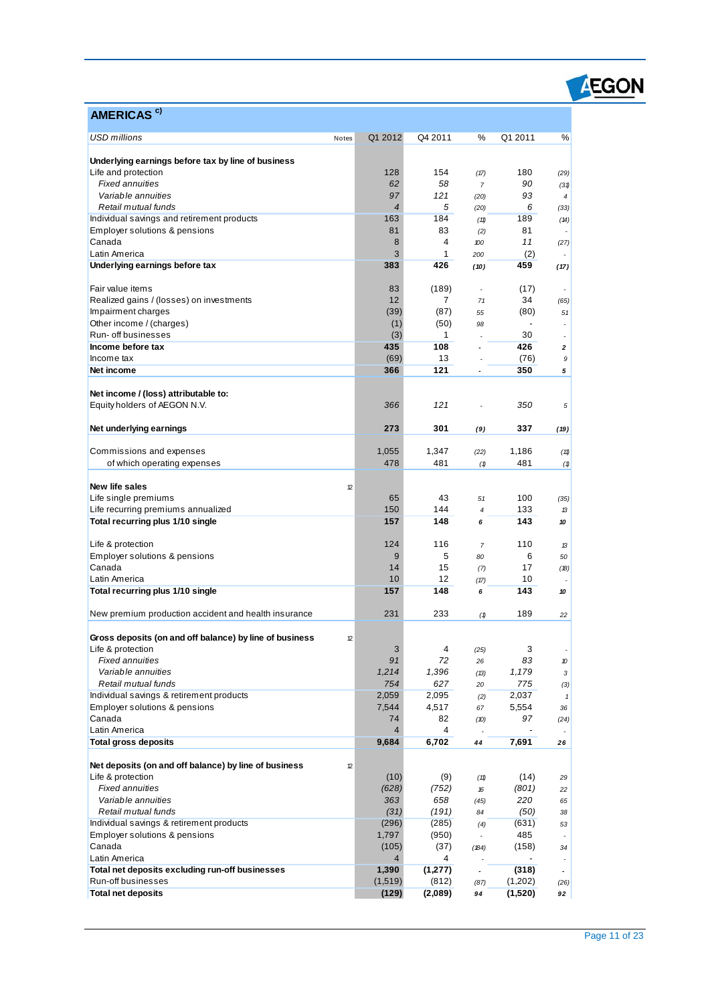| <b>USD millions</b><br>Q4 2011<br>%<br>Q1 2011<br>%<br>Q1 2012<br>Notes<br>Underlying earnings before tax by line of business<br>128<br>154<br>Life and protection<br>180<br>(17)<br>(29)<br>58<br><b>Fixed annuities</b><br>62<br>90<br>$\overline{7}$<br>(31)<br>97<br>121<br>93<br>Variable annuities<br>(20)<br>$\overline{4}$<br>$\overline{4}$<br>Retail mutual funds<br>5<br>6<br>(20)<br>(33)<br>163<br>184<br>189<br>Individual savings and retirement products<br>(11)<br>(14)<br>Employer solutions & pensions<br>81<br>83<br>81<br>(2)<br>Canada<br>8<br>4<br>11<br>100<br>(27)<br>3<br>Latin America<br>1<br>(2)<br>200<br>383<br>426<br>Underlying earnings before tax<br>459<br>(10)<br>(17)<br>Fair value items<br>83<br>(189)<br>(17)<br>٠<br>12<br>7<br>34<br>Realized gains / (losses) on investments<br>71<br>(65)<br>(39)<br>(87)<br>Impairment charges<br>(80)<br>51<br>55<br>Other income / (charges)<br>(1)<br>(50)<br>98<br>Run- off businesses<br>(3)<br>30<br>1<br>٠<br>Income before tax<br>435<br>108<br>426<br>$\overline{\mathbf{c}}$<br>ä,<br>(69)<br>Income tax<br>13<br>(76)<br>9<br>121<br>Net income<br>366<br>350<br>5<br>Net income / (loss) attributable to:<br>121<br>Equity holders of AEGON N.V.<br>366<br>350<br>5<br>301<br>Net underlying earnings<br>273<br>337<br>(9)<br>(19)<br>Commissions and expenses<br>1,055<br>1,347<br>1,186<br>(22)<br>(11)<br>478<br>481<br>of which operating expenses<br>481<br>(1)<br>(1)<br>New life sales<br>12<br>43<br>100<br>Life single premiums<br>65<br>51<br>(35)<br>Life recurring premiums annualized<br>150<br>144<br>133<br>$\overline{4}$<br>13<br>157<br>Total recurring plus 1/10 single<br>148<br>143<br>6<br>10<br>116<br>Life & protection<br>124<br>110<br>$\overline{7}$<br>13<br>5<br>Employer solutions & pensions<br>9<br>6<br>80<br>50<br>Canada<br>15<br>17<br>14<br>(7)<br>(18)<br>Latin America<br>10<br>12<br>10<br>(17)<br>157<br>148<br>Total recurring plus 1/10 single<br>143<br>6<br>10<br>231<br>233<br>189<br>New premium production accident and health insurance<br>(1)<br>22<br>Gross deposits (on and off balance) by line of business<br>12<br>Life & protection<br>4<br>3<br>3<br>(25)<br><b>Fixed annuities</b><br>91<br>72<br>83<br>26<br>10<br>Variable annuities<br>1,396<br>1,214<br>1,179<br>(13)<br>3<br>627<br>Retail mutual funds<br>754<br>775<br>20<br>(3)<br>Individual savings & retirement products<br>2,059<br>2,095<br>2,037<br>(2)<br>$\mathbf{1}$<br>Employer solutions & pensions<br>7,544<br>4,517<br>5,554<br>67<br>36<br>Canada<br>74<br>82<br>97<br>(10)<br>(24)<br>Latin America<br>$\overline{4}$<br>4<br>9,684<br>6,702<br>7,691<br><b>Total gross deposits</b><br>44<br>26<br>Net deposits (on and off balance) by line of business<br>12<br>Life & protection<br>(10)<br>(9)<br>(14)<br>(11)<br>29<br><b>Fixed annuities</b><br>(628)<br>(752)<br>(801)<br>16<br>22<br>Variable annuities<br>658<br>363<br>220<br>(45)<br>65<br>(31)<br>(191)<br>Retail mutual funds<br>(50)<br>84<br>38<br>Individual savings & retirement products<br>(296)<br>(285)<br>(631)<br>(4)<br>53<br>Employer solutions & pensions<br>1,797<br>(950)<br>485<br>Canada<br>(105)<br>(37)<br>(158)<br>(184)<br>34<br>Latin America<br>4<br>4<br>$\overline{\phantom{a}}$<br>Total net deposits excluding run-off businesses<br>1,390<br>(318)<br>(1, 277)<br>Run-off businesses<br>(1,519)<br>(812)<br>(1,202)<br>(87)<br>(26)<br><b>Total net deposits</b><br>(129)<br>(2,089)<br>(1,520)<br>94<br>92 | AMERICAS <sup>c)</sup> |  |  |  |
|----------------------------------------------------------------------------------------------------------------------------------------------------------------------------------------------------------------------------------------------------------------------------------------------------------------------------------------------------------------------------------------------------------------------------------------------------------------------------------------------------------------------------------------------------------------------------------------------------------------------------------------------------------------------------------------------------------------------------------------------------------------------------------------------------------------------------------------------------------------------------------------------------------------------------------------------------------------------------------------------------------------------------------------------------------------------------------------------------------------------------------------------------------------------------------------------------------------------------------------------------------------------------------------------------------------------------------------------------------------------------------------------------------------------------------------------------------------------------------------------------------------------------------------------------------------------------------------------------------------------------------------------------------------------------------------------------------------------------------------------------------------------------------------------------------------------------------------------------------------------------------------------------------------------------------------------------------------------------------------------------------------------------------------------------------------------------------------------------------------------------------------------------------------------------------------------------------------------------------------------------------------------------------------------------------------------------------------------------------------------------------------------------------------------------------------------------------------------------------------------------------------------------------------------------------------------------------------------------------------------------------------------------------------------------------------------------------------------------------------------------------------------------------------------------------------------------------------------------------------------------------------------------------------------------------------------------------------------------------------------------------------------------------------------------------------------------------------------------------------------------------------------------------------------------------------------------------------------------------------------------------------------------------------------------------------------------------------------------------------------------------------------------------------------------------------------------------------------------------------------------------------------------------|------------------------|--|--|--|
|                                                                                                                                                                                                                                                                                                                                                                                                                                                                                                                                                                                                                                                                                                                                                                                                                                                                                                                                                                                                                                                                                                                                                                                                                                                                                                                                                                                                                                                                                                                                                                                                                                                                                                                                                                                                                                                                                                                                                                                                                                                                                                                                                                                                                                                                                                                                                                                                                                                                                                                                                                                                                                                                                                                                                                                                                                                                                                                                                                                                                                                                                                                                                                                                                                                                                                                                                                                                                                                                                                                                  |                        |  |  |  |
|                                                                                                                                                                                                                                                                                                                                                                                                                                                                                                                                                                                                                                                                                                                                                                                                                                                                                                                                                                                                                                                                                                                                                                                                                                                                                                                                                                                                                                                                                                                                                                                                                                                                                                                                                                                                                                                                                                                                                                                                                                                                                                                                                                                                                                                                                                                                                                                                                                                                                                                                                                                                                                                                                                                                                                                                                                                                                                                                                                                                                                                                                                                                                                                                                                                                                                                                                                                                                                                                                                                                  |                        |  |  |  |
|                                                                                                                                                                                                                                                                                                                                                                                                                                                                                                                                                                                                                                                                                                                                                                                                                                                                                                                                                                                                                                                                                                                                                                                                                                                                                                                                                                                                                                                                                                                                                                                                                                                                                                                                                                                                                                                                                                                                                                                                                                                                                                                                                                                                                                                                                                                                                                                                                                                                                                                                                                                                                                                                                                                                                                                                                                                                                                                                                                                                                                                                                                                                                                                                                                                                                                                                                                                                                                                                                                                                  |                        |  |  |  |
|                                                                                                                                                                                                                                                                                                                                                                                                                                                                                                                                                                                                                                                                                                                                                                                                                                                                                                                                                                                                                                                                                                                                                                                                                                                                                                                                                                                                                                                                                                                                                                                                                                                                                                                                                                                                                                                                                                                                                                                                                                                                                                                                                                                                                                                                                                                                                                                                                                                                                                                                                                                                                                                                                                                                                                                                                                                                                                                                                                                                                                                                                                                                                                                                                                                                                                                                                                                                                                                                                                                                  |                        |  |  |  |
|                                                                                                                                                                                                                                                                                                                                                                                                                                                                                                                                                                                                                                                                                                                                                                                                                                                                                                                                                                                                                                                                                                                                                                                                                                                                                                                                                                                                                                                                                                                                                                                                                                                                                                                                                                                                                                                                                                                                                                                                                                                                                                                                                                                                                                                                                                                                                                                                                                                                                                                                                                                                                                                                                                                                                                                                                                                                                                                                                                                                                                                                                                                                                                                                                                                                                                                                                                                                                                                                                                                                  |                        |  |  |  |
|                                                                                                                                                                                                                                                                                                                                                                                                                                                                                                                                                                                                                                                                                                                                                                                                                                                                                                                                                                                                                                                                                                                                                                                                                                                                                                                                                                                                                                                                                                                                                                                                                                                                                                                                                                                                                                                                                                                                                                                                                                                                                                                                                                                                                                                                                                                                                                                                                                                                                                                                                                                                                                                                                                                                                                                                                                                                                                                                                                                                                                                                                                                                                                                                                                                                                                                                                                                                                                                                                                                                  |                        |  |  |  |
|                                                                                                                                                                                                                                                                                                                                                                                                                                                                                                                                                                                                                                                                                                                                                                                                                                                                                                                                                                                                                                                                                                                                                                                                                                                                                                                                                                                                                                                                                                                                                                                                                                                                                                                                                                                                                                                                                                                                                                                                                                                                                                                                                                                                                                                                                                                                                                                                                                                                                                                                                                                                                                                                                                                                                                                                                                                                                                                                                                                                                                                                                                                                                                                                                                                                                                                                                                                                                                                                                                                                  |                        |  |  |  |
|                                                                                                                                                                                                                                                                                                                                                                                                                                                                                                                                                                                                                                                                                                                                                                                                                                                                                                                                                                                                                                                                                                                                                                                                                                                                                                                                                                                                                                                                                                                                                                                                                                                                                                                                                                                                                                                                                                                                                                                                                                                                                                                                                                                                                                                                                                                                                                                                                                                                                                                                                                                                                                                                                                                                                                                                                                                                                                                                                                                                                                                                                                                                                                                                                                                                                                                                                                                                                                                                                                                                  |                        |  |  |  |
|                                                                                                                                                                                                                                                                                                                                                                                                                                                                                                                                                                                                                                                                                                                                                                                                                                                                                                                                                                                                                                                                                                                                                                                                                                                                                                                                                                                                                                                                                                                                                                                                                                                                                                                                                                                                                                                                                                                                                                                                                                                                                                                                                                                                                                                                                                                                                                                                                                                                                                                                                                                                                                                                                                                                                                                                                                                                                                                                                                                                                                                                                                                                                                                                                                                                                                                                                                                                                                                                                                                                  |                        |  |  |  |
|                                                                                                                                                                                                                                                                                                                                                                                                                                                                                                                                                                                                                                                                                                                                                                                                                                                                                                                                                                                                                                                                                                                                                                                                                                                                                                                                                                                                                                                                                                                                                                                                                                                                                                                                                                                                                                                                                                                                                                                                                                                                                                                                                                                                                                                                                                                                                                                                                                                                                                                                                                                                                                                                                                                                                                                                                                                                                                                                                                                                                                                                                                                                                                                                                                                                                                                                                                                                                                                                                                                                  |                        |  |  |  |
|                                                                                                                                                                                                                                                                                                                                                                                                                                                                                                                                                                                                                                                                                                                                                                                                                                                                                                                                                                                                                                                                                                                                                                                                                                                                                                                                                                                                                                                                                                                                                                                                                                                                                                                                                                                                                                                                                                                                                                                                                                                                                                                                                                                                                                                                                                                                                                                                                                                                                                                                                                                                                                                                                                                                                                                                                                                                                                                                                                                                                                                                                                                                                                                                                                                                                                                                                                                                                                                                                                                                  |                        |  |  |  |
|                                                                                                                                                                                                                                                                                                                                                                                                                                                                                                                                                                                                                                                                                                                                                                                                                                                                                                                                                                                                                                                                                                                                                                                                                                                                                                                                                                                                                                                                                                                                                                                                                                                                                                                                                                                                                                                                                                                                                                                                                                                                                                                                                                                                                                                                                                                                                                                                                                                                                                                                                                                                                                                                                                                                                                                                                                                                                                                                                                                                                                                                                                                                                                                                                                                                                                                                                                                                                                                                                                                                  |                        |  |  |  |
|                                                                                                                                                                                                                                                                                                                                                                                                                                                                                                                                                                                                                                                                                                                                                                                                                                                                                                                                                                                                                                                                                                                                                                                                                                                                                                                                                                                                                                                                                                                                                                                                                                                                                                                                                                                                                                                                                                                                                                                                                                                                                                                                                                                                                                                                                                                                                                                                                                                                                                                                                                                                                                                                                                                                                                                                                                                                                                                                                                                                                                                                                                                                                                                                                                                                                                                                                                                                                                                                                                                                  |                        |  |  |  |
|                                                                                                                                                                                                                                                                                                                                                                                                                                                                                                                                                                                                                                                                                                                                                                                                                                                                                                                                                                                                                                                                                                                                                                                                                                                                                                                                                                                                                                                                                                                                                                                                                                                                                                                                                                                                                                                                                                                                                                                                                                                                                                                                                                                                                                                                                                                                                                                                                                                                                                                                                                                                                                                                                                                                                                                                                                                                                                                                                                                                                                                                                                                                                                                                                                                                                                                                                                                                                                                                                                                                  |                        |  |  |  |
|                                                                                                                                                                                                                                                                                                                                                                                                                                                                                                                                                                                                                                                                                                                                                                                                                                                                                                                                                                                                                                                                                                                                                                                                                                                                                                                                                                                                                                                                                                                                                                                                                                                                                                                                                                                                                                                                                                                                                                                                                                                                                                                                                                                                                                                                                                                                                                                                                                                                                                                                                                                                                                                                                                                                                                                                                                                                                                                                                                                                                                                                                                                                                                                                                                                                                                                                                                                                                                                                                                                                  |                        |  |  |  |
|                                                                                                                                                                                                                                                                                                                                                                                                                                                                                                                                                                                                                                                                                                                                                                                                                                                                                                                                                                                                                                                                                                                                                                                                                                                                                                                                                                                                                                                                                                                                                                                                                                                                                                                                                                                                                                                                                                                                                                                                                                                                                                                                                                                                                                                                                                                                                                                                                                                                                                                                                                                                                                                                                                                                                                                                                                                                                                                                                                                                                                                                                                                                                                                                                                                                                                                                                                                                                                                                                                                                  |                        |  |  |  |
|                                                                                                                                                                                                                                                                                                                                                                                                                                                                                                                                                                                                                                                                                                                                                                                                                                                                                                                                                                                                                                                                                                                                                                                                                                                                                                                                                                                                                                                                                                                                                                                                                                                                                                                                                                                                                                                                                                                                                                                                                                                                                                                                                                                                                                                                                                                                                                                                                                                                                                                                                                                                                                                                                                                                                                                                                                                                                                                                                                                                                                                                                                                                                                                                                                                                                                                                                                                                                                                                                                                                  |                        |  |  |  |
|                                                                                                                                                                                                                                                                                                                                                                                                                                                                                                                                                                                                                                                                                                                                                                                                                                                                                                                                                                                                                                                                                                                                                                                                                                                                                                                                                                                                                                                                                                                                                                                                                                                                                                                                                                                                                                                                                                                                                                                                                                                                                                                                                                                                                                                                                                                                                                                                                                                                                                                                                                                                                                                                                                                                                                                                                                                                                                                                                                                                                                                                                                                                                                                                                                                                                                                                                                                                                                                                                                                                  |                        |  |  |  |
|                                                                                                                                                                                                                                                                                                                                                                                                                                                                                                                                                                                                                                                                                                                                                                                                                                                                                                                                                                                                                                                                                                                                                                                                                                                                                                                                                                                                                                                                                                                                                                                                                                                                                                                                                                                                                                                                                                                                                                                                                                                                                                                                                                                                                                                                                                                                                                                                                                                                                                                                                                                                                                                                                                                                                                                                                                                                                                                                                                                                                                                                                                                                                                                                                                                                                                                                                                                                                                                                                                                                  |                        |  |  |  |
|                                                                                                                                                                                                                                                                                                                                                                                                                                                                                                                                                                                                                                                                                                                                                                                                                                                                                                                                                                                                                                                                                                                                                                                                                                                                                                                                                                                                                                                                                                                                                                                                                                                                                                                                                                                                                                                                                                                                                                                                                                                                                                                                                                                                                                                                                                                                                                                                                                                                                                                                                                                                                                                                                                                                                                                                                                                                                                                                                                                                                                                                                                                                                                                                                                                                                                                                                                                                                                                                                                                                  |                        |  |  |  |
|                                                                                                                                                                                                                                                                                                                                                                                                                                                                                                                                                                                                                                                                                                                                                                                                                                                                                                                                                                                                                                                                                                                                                                                                                                                                                                                                                                                                                                                                                                                                                                                                                                                                                                                                                                                                                                                                                                                                                                                                                                                                                                                                                                                                                                                                                                                                                                                                                                                                                                                                                                                                                                                                                                                                                                                                                                                                                                                                                                                                                                                                                                                                                                                                                                                                                                                                                                                                                                                                                                                                  |                        |  |  |  |
|                                                                                                                                                                                                                                                                                                                                                                                                                                                                                                                                                                                                                                                                                                                                                                                                                                                                                                                                                                                                                                                                                                                                                                                                                                                                                                                                                                                                                                                                                                                                                                                                                                                                                                                                                                                                                                                                                                                                                                                                                                                                                                                                                                                                                                                                                                                                                                                                                                                                                                                                                                                                                                                                                                                                                                                                                                                                                                                                                                                                                                                                                                                                                                                                                                                                                                                                                                                                                                                                                                                                  |                        |  |  |  |
|                                                                                                                                                                                                                                                                                                                                                                                                                                                                                                                                                                                                                                                                                                                                                                                                                                                                                                                                                                                                                                                                                                                                                                                                                                                                                                                                                                                                                                                                                                                                                                                                                                                                                                                                                                                                                                                                                                                                                                                                                                                                                                                                                                                                                                                                                                                                                                                                                                                                                                                                                                                                                                                                                                                                                                                                                                                                                                                                                                                                                                                                                                                                                                                                                                                                                                                                                                                                                                                                                                                                  |                        |  |  |  |
|                                                                                                                                                                                                                                                                                                                                                                                                                                                                                                                                                                                                                                                                                                                                                                                                                                                                                                                                                                                                                                                                                                                                                                                                                                                                                                                                                                                                                                                                                                                                                                                                                                                                                                                                                                                                                                                                                                                                                                                                                                                                                                                                                                                                                                                                                                                                                                                                                                                                                                                                                                                                                                                                                                                                                                                                                                                                                                                                                                                                                                                                                                                                                                                                                                                                                                                                                                                                                                                                                                                                  |                        |  |  |  |
|                                                                                                                                                                                                                                                                                                                                                                                                                                                                                                                                                                                                                                                                                                                                                                                                                                                                                                                                                                                                                                                                                                                                                                                                                                                                                                                                                                                                                                                                                                                                                                                                                                                                                                                                                                                                                                                                                                                                                                                                                                                                                                                                                                                                                                                                                                                                                                                                                                                                                                                                                                                                                                                                                                                                                                                                                                                                                                                                                                                                                                                                                                                                                                                                                                                                                                                                                                                                                                                                                                                                  |                        |  |  |  |
|                                                                                                                                                                                                                                                                                                                                                                                                                                                                                                                                                                                                                                                                                                                                                                                                                                                                                                                                                                                                                                                                                                                                                                                                                                                                                                                                                                                                                                                                                                                                                                                                                                                                                                                                                                                                                                                                                                                                                                                                                                                                                                                                                                                                                                                                                                                                                                                                                                                                                                                                                                                                                                                                                                                                                                                                                                                                                                                                                                                                                                                                                                                                                                                                                                                                                                                                                                                                                                                                                                                                  |                        |  |  |  |
|                                                                                                                                                                                                                                                                                                                                                                                                                                                                                                                                                                                                                                                                                                                                                                                                                                                                                                                                                                                                                                                                                                                                                                                                                                                                                                                                                                                                                                                                                                                                                                                                                                                                                                                                                                                                                                                                                                                                                                                                                                                                                                                                                                                                                                                                                                                                                                                                                                                                                                                                                                                                                                                                                                                                                                                                                                                                                                                                                                                                                                                                                                                                                                                                                                                                                                                                                                                                                                                                                                                                  |                        |  |  |  |
|                                                                                                                                                                                                                                                                                                                                                                                                                                                                                                                                                                                                                                                                                                                                                                                                                                                                                                                                                                                                                                                                                                                                                                                                                                                                                                                                                                                                                                                                                                                                                                                                                                                                                                                                                                                                                                                                                                                                                                                                                                                                                                                                                                                                                                                                                                                                                                                                                                                                                                                                                                                                                                                                                                                                                                                                                                                                                                                                                                                                                                                                                                                                                                                                                                                                                                                                                                                                                                                                                                                                  |                        |  |  |  |
|                                                                                                                                                                                                                                                                                                                                                                                                                                                                                                                                                                                                                                                                                                                                                                                                                                                                                                                                                                                                                                                                                                                                                                                                                                                                                                                                                                                                                                                                                                                                                                                                                                                                                                                                                                                                                                                                                                                                                                                                                                                                                                                                                                                                                                                                                                                                                                                                                                                                                                                                                                                                                                                                                                                                                                                                                                                                                                                                                                                                                                                                                                                                                                                                                                                                                                                                                                                                                                                                                                                                  |                        |  |  |  |
|                                                                                                                                                                                                                                                                                                                                                                                                                                                                                                                                                                                                                                                                                                                                                                                                                                                                                                                                                                                                                                                                                                                                                                                                                                                                                                                                                                                                                                                                                                                                                                                                                                                                                                                                                                                                                                                                                                                                                                                                                                                                                                                                                                                                                                                                                                                                                                                                                                                                                                                                                                                                                                                                                                                                                                                                                                                                                                                                                                                                                                                                                                                                                                                                                                                                                                                                                                                                                                                                                                                                  |                        |  |  |  |
|                                                                                                                                                                                                                                                                                                                                                                                                                                                                                                                                                                                                                                                                                                                                                                                                                                                                                                                                                                                                                                                                                                                                                                                                                                                                                                                                                                                                                                                                                                                                                                                                                                                                                                                                                                                                                                                                                                                                                                                                                                                                                                                                                                                                                                                                                                                                                                                                                                                                                                                                                                                                                                                                                                                                                                                                                                                                                                                                                                                                                                                                                                                                                                                                                                                                                                                                                                                                                                                                                                                                  |                        |  |  |  |
|                                                                                                                                                                                                                                                                                                                                                                                                                                                                                                                                                                                                                                                                                                                                                                                                                                                                                                                                                                                                                                                                                                                                                                                                                                                                                                                                                                                                                                                                                                                                                                                                                                                                                                                                                                                                                                                                                                                                                                                                                                                                                                                                                                                                                                                                                                                                                                                                                                                                                                                                                                                                                                                                                                                                                                                                                                                                                                                                                                                                                                                                                                                                                                                                                                                                                                                                                                                                                                                                                                                                  |                        |  |  |  |
|                                                                                                                                                                                                                                                                                                                                                                                                                                                                                                                                                                                                                                                                                                                                                                                                                                                                                                                                                                                                                                                                                                                                                                                                                                                                                                                                                                                                                                                                                                                                                                                                                                                                                                                                                                                                                                                                                                                                                                                                                                                                                                                                                                                                                                                                                                                                                                                                                                                                                                                                                                                                                                                                                                                                                                                                                                                                                                                                                                                                                                                                                                                                                                                                                                                                                                                                                                                                                                                                                                                                  |                        |  |  |  |
|                                                                                                                                                                                                                                                                                                                                                                                                                                                                                                                                                                                                                                                                                                                                                                                                                                                                                                                                                                                                                                                                                                                                                                                                                                                                                                                                                                                                                                                                                                                                                                                                                                                                                                                                                                                                                                                                                                                                                                                                                                                                                                                                                                                                                                                                                                                                                                                                                                                                                                                                                                                                                                                                                                                                                                                                                                                                                                                                                                                                                                                                                                                                                                                                                                                                                                                                                                                                                                                                                                                                  |                        |  |  |  |
|                                                                                                                                                                                                                                                                                                                                                                                                                                                                                                                                                                                                                                                                                                                                                                                                                                                                                                                                                                                                                                                                                                                                                                                                                                                                                                                                                                                                                                                                                                                                                                                                                                                                                                                                                                                                                                                                                                                                                                                                                                                                                                                                                                                                                                                                                                                                                                                                                                                                                                                                                                                                                                                                                                                                                                                                                                                                                                                                                                                                                                                                                                                                                                                                                                                                                                                                                                                                                                                                                                                                  |                        |  |  |  |
|                                                                                                                                                                                                                                                                                                                                                                                                                                                                                                                                                                                                                                                                                                                                                                                                                                                                                                                                                                                                                                                                                                                                                                                                                                                                                                                                                                                                                                                                                                                                                                                                                                                                                                                                                                                                                                                                                                                                                                                                                                                                                                                                                                                                                                                                                                                                                                                                                                                                                                                                                                                                                                                                                                                                                                                                                                                                                                                                                                                                                                                                                                                                                                                                                                                                                                                                                                                                                                                                                                                                  |                        |  |  |  |
|                                                                                                                                                                                                                                                                                                                                                                                                                                                                                                                                                                                                                                                                                                                                                                                                                                                                                                                                                                                                                                                                                                                                                                                                                                                                                                                                                                                                                                                                                                                                                                                                                                                                                                                                                                                                                                                                                                                                                                                                                                                                                                                                                                                                                                                                                                                                                                                                                                                                                                                                                                                                                                                                                                                                                                                                                                                                                                                                                                                                                                                                                                                                                                                                                                                                                                                                                                                                                                                                                                                                  |                        |  |  |  |
|                                                                                                                                                                                                                                                                                                                                                                                                                                                                                                                                                                                                                                                                                                                                                                                                                                                                                                                                                                                                                                                                                                                                                                                                                                                                                                                                                                                                                                                                                                                                                                                                                                                                                                                                                                                                                                                                                                                                                                                                                                                                                                                                                                                                                                                                                                                                                                                                                                                                                                                                                                                                                                                                                                                                                                                                                                                                                                                                                                                                                                                                                                                                                                                                                                                                                                                                                                                                                                                                                                                                  |                        |  |  |  |
|                                                                                                                                                                                                                                                                                                                                                                                                                                                                                                                                                                                                                                                                                                                                                                                                                                                                                                                                                                                                                                                                                                                                                                                                                                                                                                                                                                                                                                                                                                                                                                                                                                                                                                                                                                                                                                                                                                                                                                                                                                                                                                                                                                                                                                                                                                                                                                                                                                                                                                                                                                                                                                                                                                                                                                                                                                                                                                                                                                                                                                                                                                                                                                                                                                                                                                                                                                                                                                                                                                                                  |                        |  |  |  |
|                                                                                                                                                                                                                                                                                                                                                                                                                                                                                                                                                                                                                                                                                                                                                                                                                                                                                                                                                                                                                                                                                                                                                                                                                                                                                                                                                                                                                                                                                                                                                                                                                                                                                                                                                                                                                                                                                                                                                                                                                                                                                                                                                                                                                                                                                                                                                                                                                                                                                                                                                                                                                                                                                                                                                                                                                                                                                                                                                                                                                                                                                                                                                                                                                                                                                                                                                                                                                                                                                                                                  |                        |  |  |  |
|                                                                                                                                                                                                                                                                                                                                                                                                                                                                                                                                                                                                                                                                                                                                                                                                                                                                                                                                                                                                                                                                                                                                                                                                                                                                                                                                                                                                                                                                                                                                                                                                                                                                                                                                                                                                                                                                                                                                                                                                                                                                                                                                                                                                                                                                                                                                                                                                                                                                                                                                                                                                                                                                                                                                                                                                                                                                                                                                                                                                                                                                                                                                                                                                                                                                                                                                                                                                                                                                                                                                  |                        |  |  |  |
|                                                                                                                                                                                                                                                                                                                                                                                                                                                                                                                                                                                                                                                                                                                                                                                                                                                                                                                                                                                                                                                                                                                                                                                                                                                                                                                                                                                                                                                                                                                                                                                                                                                                                                                                                                                                                                                                                                                                                                                                                                                                                                                                                                                                                                                                                                                                                                                                                                                                                                                                                                                                                                                                                                                                                                                                                                                                                                                                                                                                                                                                                                                                                                                                                                                                                                                                                                                                                                                                                                                                  |                        |  |  |  |
|                                                                                                                                                                                                                                                                                                                                                                                                                                                                                                                                                                                                                                                                                                                                                                                                                                                                                                                                                                                                                                                                                                                                                                                                                                                                                                                                                                                                                                                                                                                                                                                                                                                                                                                                                                                                                                                                                                                                                                                                                                                                                                                                                                                                                                                                                                                                                                                                                                                                                                                                                                                                                                                                                                                                                                                                                                                                                                                                                                                                                                                                                                                                                                                                                                                                                                                                                                                                                                                                                                                                  |                        |  |  |  |
|                                                                                                                                                                                                                                                                                                                                                                                                                                                                                                                                                                                                                                                                                                                                                                                                                                                                                                                                                                                                                                                                                                                                                                                                                                                                                                                                                                                                                                                                                                                                                                                                                                                                                                                                                                                                                                                                                                                                                                                                                                                                                                                                                                                                                                                                                                                                                                                                                                                                                                                                                                                                                                                                                                                                                                                                                                                                                                                                                                                                                                                                                                                                                                                                                                                                                                                                                                                                                                                                                                                                  |                        |  |  |  |
|                                                                                                                                                                                                                                                                                                                                                                                                                                                                                                                                                                                                                                                                                                                                                                                                                                                                                                                                                                                                                                                                                                                                                                                                                                                                                                                                                                                                                                                                                                                                                                                                                                                                                                                                                                                                                                                                                                                                                                                                                                                                                                                                                                                                                                                                                                                                                                                                                                                                                                                                                                                                                                                                                                                                                                                                                                                                                                                                                                                                                                                                                                                                                                                                                                                                                                                                                                                                                                                                                                                                  |                        |  |  |  |
|                                                                                                                                                                                                                                                                                                                                                                                                                                                                                                                                                                                                                                                                                                                                                                                                                                                                                                                                                                                                                                                                                                                                                                                                                                                                                                                                                                                                                                                                                                                                                                                                                                                                                                                                                                                                                                                                                                                                                                                                                                                                                                                                                                                                                                                                                                                                                                                                                                                                                                                                                                                                                                                                                                                                                                                                                                                                                                                                                                                                                                                                                                                                                                                                                                                                                                                                                                                                                                                                                                                                  |                        |  |  |  |
|                                                                                                                                                                                                                                                                                                                                                                                                                                                                                                                                                                                                                                                                                                                                                                                                                                                                                                                                                                                                                                                                                                                                                                                                                                                                                                                                                                                                                                                                                                                                                                                                                                                                                                                                                                                                                                                                                                                                                                                                                                                                                                                                                                                                                                                                                                                                                                                                                                                                                                                                                                                                                                                                                                                                                                                                                                                                                                                                                                                                                                                                                                                                                                                                                                                                                                                                                                                                                                                                                                                                  |                        |  |  |  |
|                                                                                                                                                                                                                                                                                                                                                                                                                                                                                                                                                                                                                                                                                                                                                                                                                                                                                                                                                                                                                                                                                                                                                                                                                                                                                                                                                                                                                                                                                                                                                                                                                                                                                                                                                                                                                                                                                                                                                                                                                                                                                                                                                                                                                                                                                                                                                                                                                                                                                                                                                                                                                                                                                                                                                                                                                                                                                                                                                                                                                                                                                                                                                                                                                                                                                                                                                                                                                                                                                                                                  |                        |  |  |  |
|                                                                                                                                                                                                                                                                                                                                                                                                                                                                                                                                                                                                                                                                                                                                                                                                                                                                                                                                                                                                                                                                                                                                                                                                                                                                                                                                                                                                                                                                                                                                                                                                                                                                                                                                                                                                                                                                                                                                                                                                                                                                                                                                                                                                                                                                                                                                                                                                                                                                                                                                                                                                                                                                                                                                                                                                                                                                                                                                                                                                                                                                                                                                                                                                                                                                                                                                                                                                                                                                                                                                  |                        |  |  |  |
|                                                                                                                                                                                                                                                                                                                                                                                                                                                                                                                                                                                                                                                                                                                                                                                                                                                                                                                                                                                                                                                                                                                                                                                                                                                                                                                                                                                                                                                                                                                                                                                                                                                                                                                                                                                                                                                                                                                                                                                                                                                                                                                                                                                                                                                                                                                                                                                                                                                                                                                                                                                                                                                                                                                                                                                                                                                                                                                                                                                                                                                                                                                                                                                                                                                                                                                                                                                                                                                                                                                                  |                        |  |  |  |
|                                                                                                                                                                                                                                                                                                                                                                                                                                                                                                                                                                                                                                                                                                                                                                                                                                                                                                                                                                                                                                                                                                                                                                                                                                                                                                                                                                                                                                                                                                                                                                                                                                                                                                                                                                                                                                                                                                                                                                                                                                                                                                                                                                                                                                                                                                                                                                                                                                                                                                                                                                                                                                                                                                                                                                                                                                                                                                                                                                                                                                                                                                                                                                                                                                                                                                                                                                                                                                                                                                                                  |                        |  |  |  |
|                                                                                                                                                                                                                                                                                                                                                                                                                                                                                                                                                                                                                                                                                                                                                                                                                                                                                                                                                                                                                                                                                                                                                                                                                                                                                                                                                                                                                                                                                                                                                                                                                                                                                                                                                                                                                                                                                                                                                                                                                                                                                                                                                                                                                                                                                                                                                                                                                                                                                                                                                                                                                                                                                                                                                                                                                                                                                                                                                                                                                                                                                                                                                                                                                                                                                                                                                                                                                                                                                                                                  |                        |  |  |  |
|                                                                                                                                                                                                                                                                                                                                                                                                                                                                                                                                                                                                                                                                                                                                                                                                                                                                                                                                                                                                                                                                                                                                                                                                                                                                                                                                                                                                                                                                                                                                                                                                                                                                                                                                                                                                                                                                                                                                                                                                                                                                                                                                                                                                                                                                                                                                                                                                                                                                                                                                                                                                                                                                                                                                                                                                                                                                                                                                                                                                                                                                                                                                                                                                                                                                                                                                                                                                                                                                                                                                  |                        |  |  |  |
|                                                                                                                                                                                                                                                                                                                                                                                                                                                                                                                                                                                                                                                                                                                                                                                                                                                                                                                                                                                                                                                                                                                                                                                                                                                                                                                                                                                                                                                                                                                                                                                                                                                                                                                                                                                                                                                                                                                                                                                                                                                                                                                                                                                                                                                                                                                                                                                                                                                                                                                                                                                                                                                                                                                                                                                                                                                                                                                                                                                                                                                                                                                                                                                                                                                                                                                                                                                                                                                                                                                                  |                        |  |  |  |
|                                                                                                                                                                                                                                                                                                                                                                                                                                                                                                                                                                                                                                                                                                                                                                                                                                                                                                                                                                                                                                                                                                                                                                                                                                                                                                                                                                                                                                                                                                                                                                                                                                                                                                                                                                                                                                                                                                                                                                                                                                                                                                                                                                                                                                                                                                                                                                                                                                                                                                                                                                                                                                                                                                                                                                                                                                                                                                                                                                                                                                                                                                                                                                                                                                                                                                                                                                                                                                                                                                                                  |                        |  |  |  |
|                                                                                                                                                                                                                                                                                                                                                                                                                                                                                                                                                                                                                                                                                                                                                                                                                                                                                                                                                                                                                                                                                                                                                                                                                                                                                                                                                                                                                                                                                                                                                                                                                                                                                                                                                                                                                                                                                                                                                                                                                                                                                                                                                                                                                                                                                                                                                                                                                                                                                                                                                                                                                                                                                                                                                                                                                                                                                                                                                                                                                                                                                                                                                                                                                                                                                                                                                                                                                                                                                                                                  |                        |  |  |  |
|                                                                                                                                                                                                                                                                                                                                                                                                                                                                                                                                                                                                                                                                                                                                                                                                                                                                                                                                                                                                                                                                                                                                                                                                                                                                                                                                                                                                                                                                                                                                                                                                                                                                                                                                                                                                                                                                                                                                                                                                                                                                                                                                                                                                                                                                                                                                                                                                                                                                                                                                                                                                                                                                                                                                                                                                                                                                                                                                                                                                                                                                                                                                                                                                                                                                                                                                                                                                                                                                                                                                  |                        |  |  |  |
|                                                                                                                                                                                                                                                                                                                                                                                                                                                                                                                                                                                                                                                                                                                                                                                                                                                                                                                                                                                                                                                                                                                                                                                                                                                                                                                                                                                                                                                                                                                                                                                                                                                                                                                                                                                                                                                                                                                                                                                                                                                                                                                                                                                                                                                                                                                                                                                                                                                                                                                                                                                                                                                                                                                                                                                                                                                                                                                                                                                                                                                                                                                                                                                                                                                                                                                                                                                                                                                                                                                                  |                        |  |  |  |
|                                                                                                                                                                                                                                                                                                                                                                                                                                                                                                                                                                                                                                                                                                                                                                                                                                                                                                                                                                                                                                                                                                                                                                                                                                                                                                                                                                                                                                                                                                                                                                                                                                                                                                                                                                                                                                                                                                                                                                                                                                                                                                                                                                                                                                                                                                                                                                                                                                                                                                                                                                                                                                                                                                                                                                                                                                                                                                                                                                                                                                                                                                                                                                                                                                                                                                                                                                                                                                                                                                                                  |                        |  |  |  |
|                                                                                                                                                                                                                                                                                                                                                                                                                                                                                                                                                                                                                                                                                                                                                                                                                                                                                                                                                                                                                                                                                                                                                                                                                                                                                                                                                                                                                                                                                                                                                                                                                                                                                                                                                                                                                                                                                                                                                                                                                                                                                                                                                                                                                                                                                                                                                                                                                                                                                                                                                                                                                                                                                                                                                                                                                                                                                                                                                                                                                                                                                                                                                                                                                                                                                                                                                                                                                                                                                                                                  |                        |  |  |  |

 $\overline{a}$ 

EGON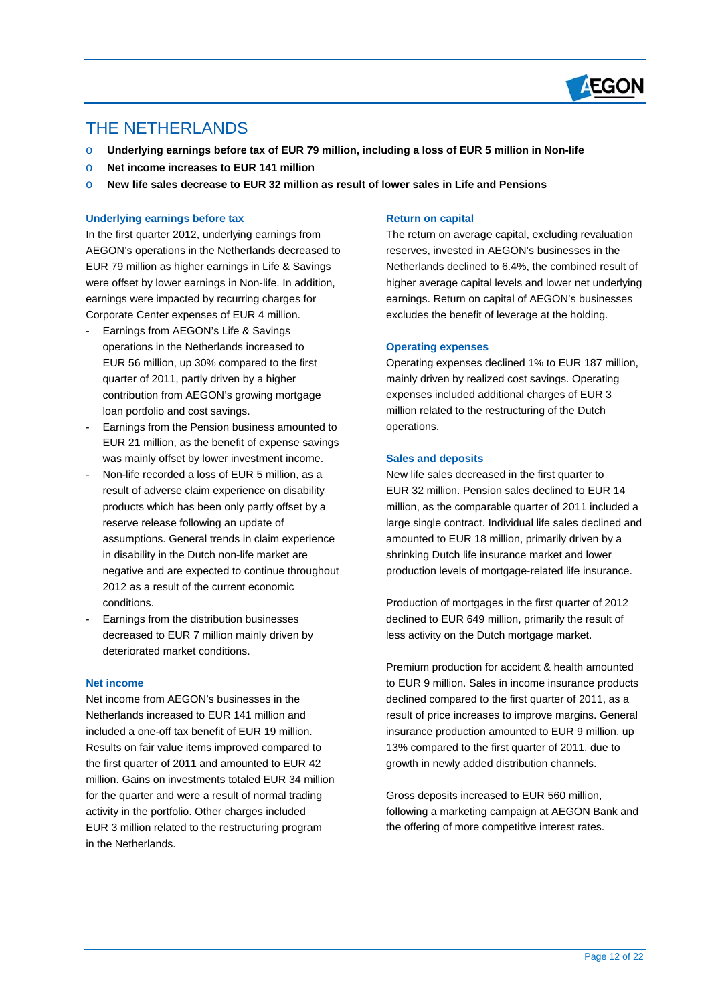

# THE NETHERLANDS

 $\overline{a}$ 

- o **Underlying earnings before tax of EUR 79 million, including a loss of EUR 5 million in Non-life**
- o **Net income increases to EUR 141 million**
- o **New life sales decrease to EUR 32 million as result of lower sales in Life and Pensions**

### **Underlying earnings before tax**

In the first quarter 2012, underlying earnings from AEGON's operations in the Netherlands decreased to EUR 79 million as higher earnings in Life & Savings were offset by lower earnings in Non-life. In addition, earnings were impacted by recurring charges for Corporate Center expenses of EUR 4 million.

- Earnings from AEGON's Life & Savings operations in the Netherlands increased to EUR 56 million, up 30% compared to the first quarter of 2011, partly driven by a higher contribution from AEGON's growing mortgage loan portfolio and cost savings.
- Earnings from the Pension business amounted to EUR 21 million, as the benefit of expense savings was mainly offset by lower investment income.
- Non-life recorded a loss of EUR 5 million, as a result of adverse claim experience on disability products which has been only partly offset by a reserve release following an update of assumptions. General trends in claim experience in disability in the Dutch non-life market are negative and are expected to continue throughout 2012 as a result of the current economic conditions.
- Earnings from the distribution businesses decreased to EUR 7 million mainly driven by deteriorated market conditions.

## **Net income**

Net income from AEGON's businesses in the Netherlands increased to EUR 141 million and included a one-off tax benefit of EUR 19 million. Results on fair value items improved compared to the first quarter of 2011 and amounted to EUR 42 million. Gains on investments totaled EUR 34 million for the quarter and were a result of normal trading activity in the portfolio. Other charges included EUR 3 million related to the restructuring program in the Netherlands.

#### **Return on capital**

The return on average capital, excluding revaluation reserves, invested in AEGON's businesses in the Netherlands declined to 6.4%, the combined result of higher average capital levels and lower net underlying earnings. Return on capital of AEGON's businesses excludes the benefit of leverage at the holding.

#### **Operating expenses**

Operating expenses declined 1% to EUR 187 million, mainly driven by realized cost savings. Operating expenses included additional charges of EUR 3 million related to the restructuring of the Dutch operations.

#### **Sales and deposits**

New life sales decreased in the first quarter to EUR 32 million. Pension sales declined to EUR 14 million, as the comparable quarter of 2011 included a large single contract. Individual life sales declined and amounted to EUR 18 million, primarily driven by a shrinking Dutch life insurance market and lower production levels of mortgage-related life insurance.

Production of mortgages in the first quarter of 2012 declined to EUR 649 million, primarily the result of less activity on the Dutch mortgage market.

Premium production for accident & health amounted to EUR 9 million. Sales in income insurance products declined compared to the first quarter of 2011, as a result of price increases to improve margins. General insurance production amounted to EUR 9 million, up 13% compared to the first quarter of 2011, due to growth in newly added distribution channels.

Gross deposits increased to EUR 560 million, following a marketing campaign at AEGON Bank and the offering of more competitive interest rates.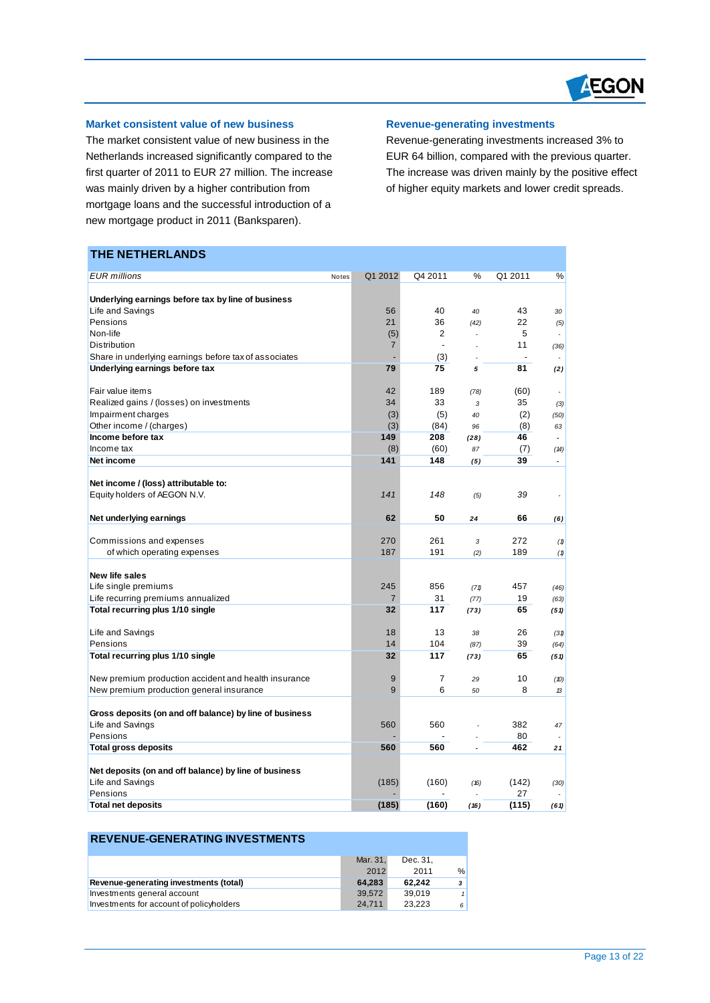

# **Market consistent value of new business**

The market consistent value of new business in the Netherlands increased significantly compared to the first quarter of 2011 to EUR 27 million. The increase was mainly driven by a higher contribution from mortgage loans and the successful introduction of a new mortgage product in 2011 (Banksparen).

#### **Revenue-generating investments**

Revenue-generating investments increased 3% to EUR 64 billion, compared with the previous quarter. The increase was driven mainly by the positive effect of higher equity markets and lower credit spreads.

# **THE NETHERLANDS**

 $\overline{a}$ 

| <b>EUR</b> millions                                     | Notes | Q1 2012        | Q4 2011        | %    | Q1 2011 | ℅    |
|---------------------------------------------------------|-------|----------------|----------------|------|---------|------|
|                                                         |       |                |                |      |         |      |
| Underlying earnings before tax by line of business      |       |                |                |      |         |      |
| Life and Savings                                        |       | 56             | 40             | 40   | 43      | 30   |
| Pensions                                                |       | 21             | 36             | (42) | 22      | (5)  |
| Non-life                                                |       | (5)            | 2              |      | 5       | ٠    |
| Distribution                                            |       | $\overline{7}$ | $\overline{a}$ |      | 11      | (36) |
| Share in underlying earnings before tax of associates   |       |                | (3)            |      |         | ÷,   |
| Underlying earnings before tax                          |       | 79             | 75             | 5    | 81      | (2)  |
| Fair value items                                        |       | 42             | 189            | (78) | (60)    |      |
| Realized gains / (losses) on investments                |       | 34             | 33             | 3    | 35      | (3)  |
| Impairment charges                                      |       | (3)            | (5)            | 40   | (2)     | (50) |
| Other income / (charges)                                |       | (3)            | (84)           | 96   | (8)     | 63   |
| Income before tax                                       |       | 149            | 208            | (28) | 46      | ÷.   |
| Income tax                                              |       | (8)            | (60)           | 87   | (7)     | (14) |
| Net income                                              |       | 141            | 148            | (5)  | 39      | ä,   |
|                                                         |       |                |                |      |         |      |
| Net income / (loss) attributable to:                    |       |                |                |      |         |      |
| Equity holders of AEGON N.V.                            |       | 141            | 148            | (5)  | 39      | ä,   |
|                                                         |       |                |                |      |         |      |
| Net underlying earnings                                 |       | 62             | 50             | 24   | 66      | (6)  |
|                                                         |       |                |                |      |         |      |
| Commissions and expenses                                |       | 270            | 261            | 3    | 272     | (1)  |
| of which operating expenses                             |       | 187            | 191            | (2)  | 189     | (1)  |
| <b>New life sales</b>                                   |       |                |                |      |         |      |
| Life single premiums                                    |       | 245            | 856            | (71) | 457     | (46) |
| Life recurring premiums annualized                      |       | $\overline{7}$ | 31             | (77) | 19      | (63) |
| Total recurring plus 1/10 single                        |       | 32             | 117            | (73) | 65      | (51) |
|                                                         |       |                |                |      |         |      |
| Life and Savings                                        |       | 18             | 13             | 38   | 26      | (31) |
| Pensions                                                |       | 14             | 104            | (87) | 39      | (64) |
| Total recurring plus 1/10 single                        |       | 32             | 117            | (73) | 65      | (51) |
|                                                         |       |                |                |      |         |      |
| New premium production accident and health insurance    |       | 9              | $\overline{7}$ | 29   | 10      | (10) |
| New premium production general insurance                |       | 9              | 6              | 50   | 8       | 13   |
|                                                         |       |                |                |      |         |      |
| Gross deposits (on and off balance) by line of business |       |                |                |      |         |      |
| Life and Savings                                        |       | 560            | 560            |      | 382     | 47   |
| Pensions                                                |       |                |                |      | 80      |      |
| <b>Total gross deposits</b>                             |       | 560            | 560            |      | 462     | 21   |
| Net deposits (on and off balance) by line of business   |       |                |                |      |         |      |
| Life and Savings                                        |       | (185)          | (160)          | (16) | (142)   | (30) |
| Pensions                                                |       |                |                |      | 27      | ٠    |
| <b>Total net deposits</b>                               |       | (185)          | (160)          | (16) | (115)   | (61) |

| <b>REVENUE-GENERATING INVESTMENTS</b>    |          |          |               |
|------------------------------------------|----------|----------|---------------|
|                                          | Mar. 31, | Dec. 31. |               |
|                                          | 2012     | 2011     | $\frac{0}{6}$ |
| Revenue-generating investments (total)   | 64.283   | 62.242   | 3             |
| Investments general account              | 39.572   | 39.019   |               |
| Investments for account of policyholders | 24.711   | 23.223   | 6             |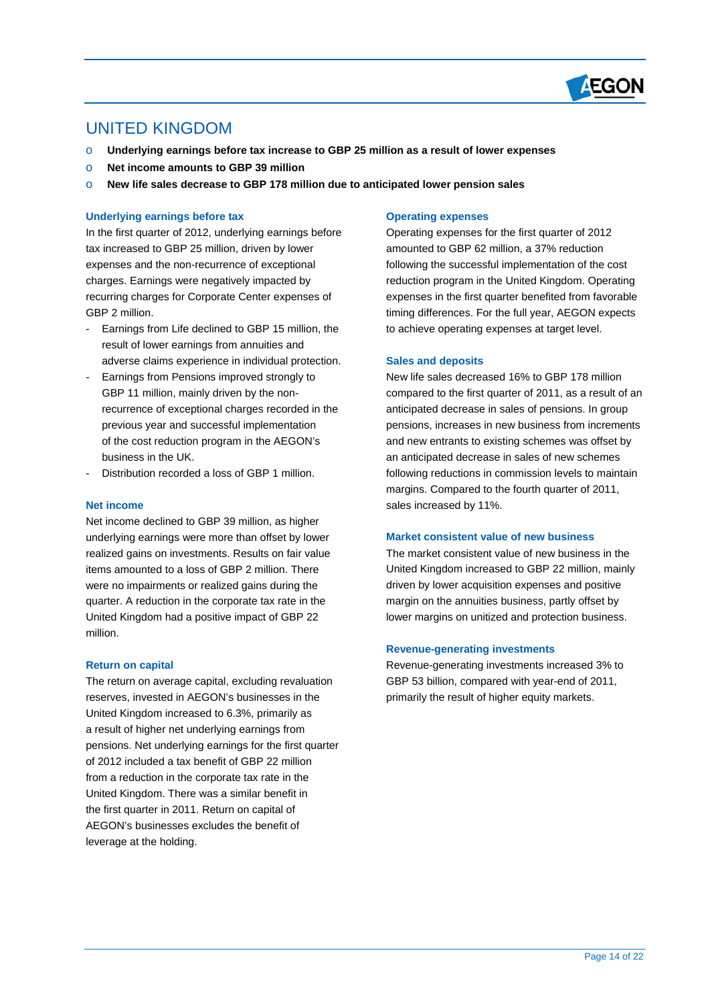

# UNITED KINGDOM

 $\overline{a}$ 

- o **Underlying earnings before tax increase to GBP 25 million as a result of lower expenses**
- o **Net income amounts to GBP 39 million**
- o **New life sales decrease to GBP 178 million due to anticipated lower pension sales**

### **Underlying earnings before tax**

In the first quarter of 2012, underlying earnings before tax increased to GBP 25 million, driven by lower expenses and the non-recurrence of exceptional charges. Earnings were negatively impacted by recurring charges for Corporate Center expenses of GBP 2 million.

- Earnings from Life declined to GBP 15 million, the result of lower earnings from annuities and adverse claims experience in individual protection.
- Earnings from Pensions improved strongly to GBP 11 million, mainly driven by the nonrecurrence of exceptional charges recorded in the previous year and successful implementation of the cost reduction program in the AEGON's business in the UK.
- Distribution recorded a loss of GBP 1 million.

#### **Net income**

Net income declined to GBP 39 million, as higher underlying earnings were more than offset by lower realized gains on investments. Results on fair value items amounted to a loss of GBP 2 million. There were no impairments or realized gains during the quarter. A reduction in the corporate tax rate in the United Kingdom had a positive impact of GBP 22 million.

#### **Return on capital**

The return on average capital, excluding revaluation reserves, invested in AEGON's businesses in the United Kingdom increased to 6.3%, primarily as a result of higher net underlying earnings from pensions. Net underlying earnings for the first quarter of 2012 included a tax benefit of GBP 22 million from a reduction in the corporate tax rate in the United Kingdom. There was a similar benefit in the first quarter in 2011. Return on capital of AEGON's businesses excludes the benefit of leverage at the holding.

#### **Operating expenses**

Operating expenses for the first quarter of 2012 amounted to GBP 62 million, a 37% reduction following the successful implementation of the cost reduction program in the United Kingdom. Operating expenses in the first quarter benefited from favorable timing differences. For the full year, AEGON expects to achieve operating expenses at target level.

#### **Sales and deposits**

New life sales decreased 16% to GBP 178 million compared to the first quarter of 2011, as a result of an anticipated decrease in sales of pensions. In group pensions, increases in new business from increments and new entrants to existing schemes was offset by an anticipated decrease in sales of new schemes following reductions in commission levels to maintain margins. Compared to the fourth quarter of 2011, sales increased by 11%.

#### **Market consistent value of new business**

The market consistent value of new business in the United Kingdom increased to GBP 22 million, mainly driven by lower acquisition expenses and positive margin on the annuities business, partly offset by lower margins on unitized and protection business.

#### **Revenue-generating investments**

Revenue-generating investments increased 3% to GBP 53 billion, compared with year-end of 2011, primarily the result of higher equity markets.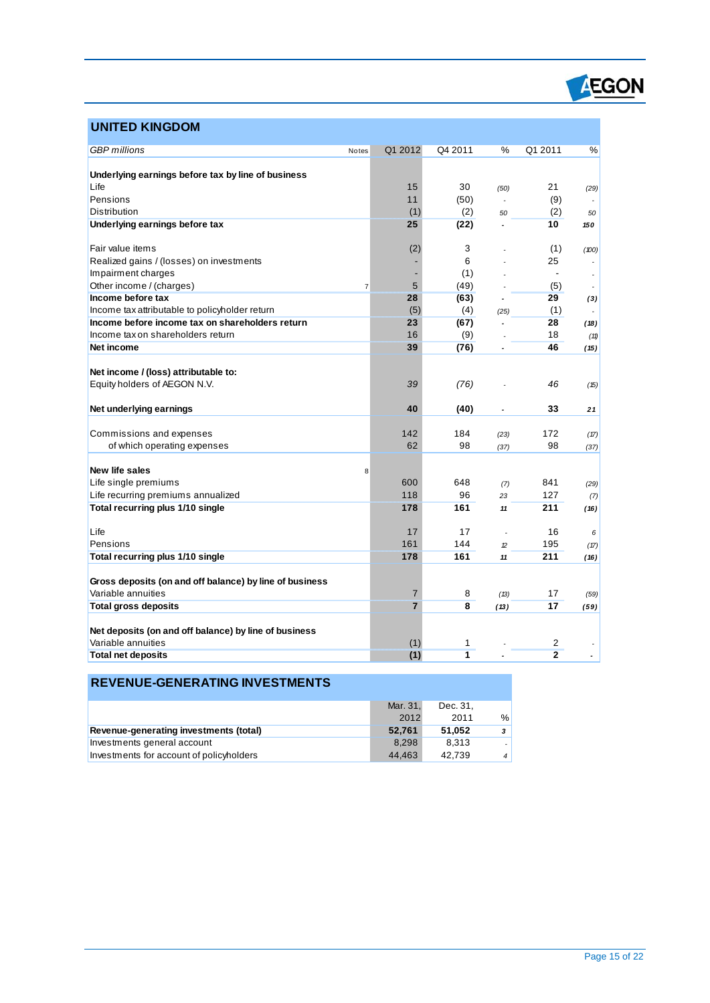

# **UNITED KINGDOM**

 $\overline{a}$ 

| <b>GBP</b> millions                                     | <b>Notes</b> | Q1 2012        | Q4 2011 | %              | Q1 2011                  | %     |
|---------------------------------------------------------|--------------|----------------|---------|----------------|--------------------------|-------|
|                                                         |              |                |         |                |                          |       |
| Underlying earnings before tax by line of business      |              |                |         |                |                          |       |
| Life                                                    |              | 15             | 30      | (50)           | 21                       | (29)  |
| Pensions                                                |              | 11             | (50)    |                | (9)                      |       |
| Distribution                                            |              | (1)            | (2)     | 50             | (2)                      | 50    |
| Underlying earnings before tax                          |              | 25             | (22)    |                | 10                       | 150   |
|                                                         |              |                |         |                |                          |       |
| Fair value items                                        |              | (2)            | 3       |                | (1)                      | (100) |
| Realized gains / (losses) on investments                |              |                | 6       |                | 25                       |       |
| Impairment charges                                      |              |                | (1)     |                | $\overline{\phantom{a}}$ |       |
| Other income / (charges)                                | 7            | 5              | (49)    |                | (5)                      |       |
| Income before tax                                       |              | 28             | (63)    |                | 29                       | (3)   |
| Income tax attributable to policyholder return          |              | (5)            | (4)     | (25)           | (1)                      |       |
| Income before income tax on shareholders return         |              | 23             | (67)    | $\overline{a}$ | 28                       | (18)  |
| Income tax on shareholders return                       |              | 16             | (9)     |                | 18                       | (11)  |
| Net income                                              |              | 39             | (76)    | ٠              | 46                       | (15)  |
|                                                         |              |                |         |                |                          |       |
| Net income / (loss) attributable to:                    |              |                |         |                |                          |       |
| Equity holders of AEGON N.V.                            |              | 39             | (76)    |                | 46                       | (15)  |
| Net underlying earnings                                 |              | 40             | (40)    |                | 33                       | 21    |
|                                                         |              |                |         |                |                          |       |
| Commissions and expenses                                |              | 142            | 184     | (23)           | 172                      | (17)  |
| of which operating expenses                             |              | 62             | 98      | (37)           | 98                       | (37)  |
|                                                         |              |                |         |                |                          |       |
| New life sales                                          | 8            |                |         |                |                          |       |
| Life single premiums                                    |              | 600            | 648     | (7)            | 841                      | (29)  |
| Life recurring premiums annualized                      |              | 118            | 96      | 23             | 127                      | (7)   |
| Total recurring plus 1/10 single                        |              | 178            | 161     | 11             | 211                      | (16)  |
|                                                         |              |                |         |                |                          |       |
| Life                                                    |              | 17             | 17      |                | 16                       | 6     |
| Pensions                                                |              | 161            | 144     | $\mathcal{D}$  | 195                      | (17)  |
| Total recurring plus 1/10 single                        |              | 178            | 161     | 11             | 211                      | (16)  |
|                                                         |              |                |         |                |                          |       |
| Gross deposits (on and off balance) by line of business |              |                |         |                |                          |       |
| Variable annuities                                      |              | $\overline{7}$ | 8       | (13)           | 17                       | (59)  |
| <b>Total gross deposits</b>                             |              | $\overline{7}$ | 8       | (13)           | 17                       | (59)  |
|                                                         |              |                |         |                |                          |       |
| Net deposits (on and off balance) by line of business   |              |                |         |                |                          |       |
| Variable annuities                                      |              | (1)            | 1       |                | 2                        |       |
| <b>Total net deposits</b>                               |              | (1)            | 1       |                | $\overline{2}$           |       |
|                                                         |              |                |         |                |                          |       |

# **REVENUE-GENERATING INVESTMENTS**

|                                          | Mar. 31, | Dec. 31. |               |
|------------------------------------------|----------|----------|---------------|
|                                          | 2012     | 2011     | $\frac{0}{c}$ |
| Revenue-generating investments (total)   | 52.761   | 51.052   | 3             |
| Investments general account              | 8.298    | 8.313    |               |
| Investments for account of policyholders | 44.463   | 42.739   | 4             |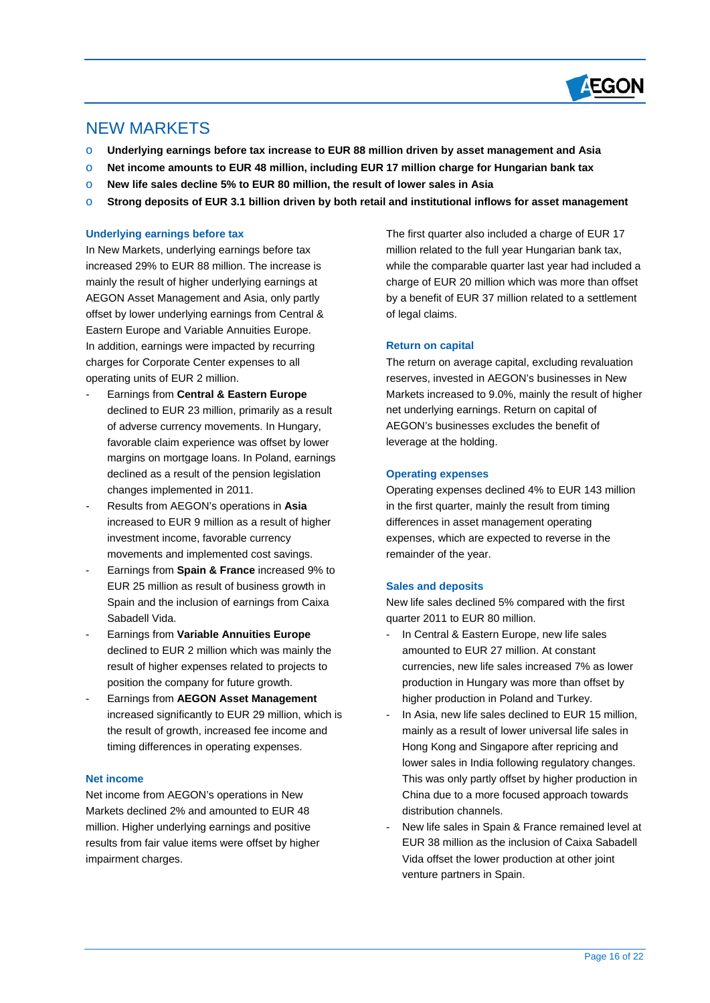

# NEW MARKETS

 $\overline{a}$ 

- o **Underlying earnings before tax increase to EUR 88 million driven by asset management and Asia**
- o **Net income amounts to EUR 48 million, including EUR 17 million charge for Hungarian bank tax**
- o **New life sales decline 5% to EUR 80 million, the result of lower sales in Asia**
- o **Strong deposits of EUR 3.1 billion driven by both retail and institutional inflows for asset management**

# **Underlying earnings before tax**

In New Markets, underlying earnings before tax increased 29% to EUR 88 million. The increase is mainly the result of higher underlying earnings at AEGON Asset Management and Asia, only partly offset by lower underlying earnings from Central & Eastern Europe and Variable Annuities Europe. In addition, earnings were impacted by recurring charges for Corporate Center expenses to all operating units of EUR 2 million.

- Earnings from **Central & Eastern Europe** declined to EUR 23 million, primarily as a result of adverse currency movements. In Hungary, favorable claim experience was offset by lower margins on mortgage loans. In Poland, earnings declined as a result of the pension legislation changes implemented in 2011.
- Results from AEGON's operations in **Asia** increased to EUR 9 million as a result of higher investment income, favorable currency movements and implemented cost savings.
- Earnings from **Spain & France** increased 9% to EUR 25 million as result of business growth in Spain and the inclusion of earnings from Caixa Sabadell Vida.
- Earnings from **Variable Annuities Europe** declined to EUR 2 million which was mainly the result of higher expenses related to projects to position the company for future growth.
- Earnings from **AEGON Asset Management** increased significantly to EUR 29 million, which is the result of growth, increased fee income and timing differences in operating expenses.

# **Net income**

Net income from AEGON's operations in New Markets declined 2% and amounted to EUR 48 million. Higher underlying earnings and positive results from fair value items were offset by higher impairment charges.

The first quarter also included a charge of EUR 17 million related to the full year Hungarian bank tax, while the comparable quarter last year had included a charge of EUR 20 million which was more than offset by a benefit of EUR 37 million related to a settlement of legal claims.

# **Return on capital**

The return on average capital, excluding revaluation reserves, invested in AEGON's businesses in New Markets increased to 9.0%, mainly the result of higher net underlying earnings. Return on capital of AEGON's businesses excludes the benefit of leverage at the holding.

# **Operating expenses**

Operating expenses declined 4% to EUR 143 million in the first quarter, mainly the result from timing differences in asset management operating expenses, which are expected to reverse in the remainder of the year.

# **Sales and deposits**

New life sales declined 5% compared with the first quarter 2011 to EUR 80 million.

- In Central & Eastern Europe, new life sales amounted to EUR 27 million. At constant currencies, new life sales increased 7% as lower production in Hungary was more than offset by higher production in Poland and Turkey.
- In Asia, new life sales declined to EUR 15 million, mainly as a result of lower universal life sales in Hong Kong and Singapore after repricing and lower sales in India following regulatory changes. This was only partly offset by higher production in China due to a more focused approach towards distribution channels.
- New life sales in Spain & France remained level at EUR 38 million as the inclusion of Caixa Sabadell Vida offset the lower production at other joint venture partners in Spain.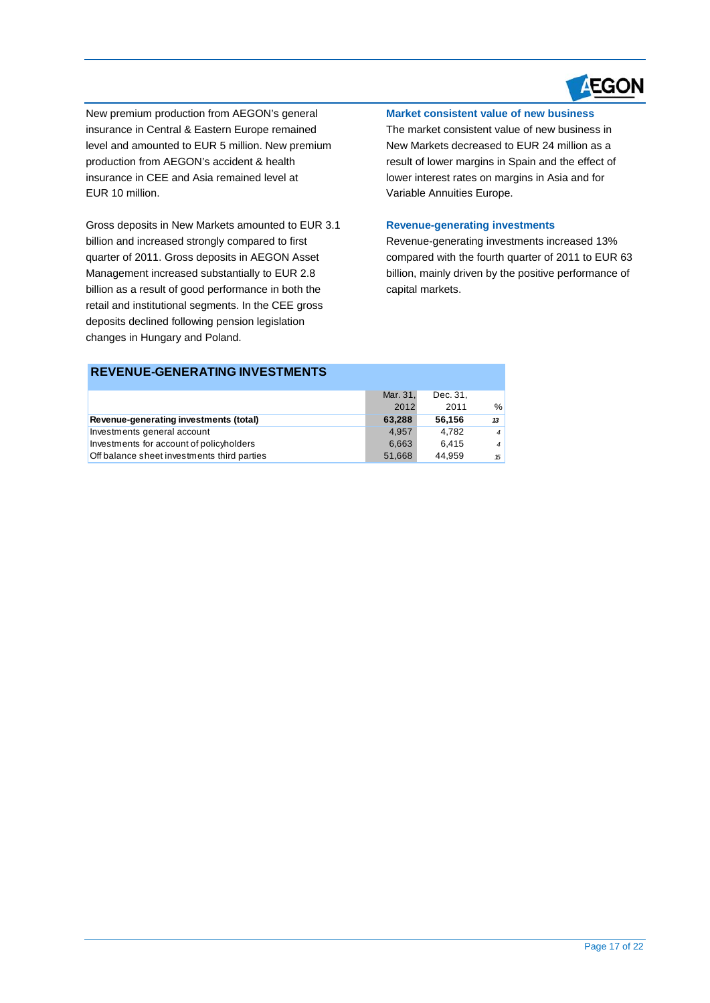

New premium production from AEGON's general insurance in Central & Eastern Europe remained level and amounted to EUR 5 million. New premium production from AEGON's accident & health insurance in CEE and Asia remained level at EUR 10 million.

 $\overline{a}$ 

Gross deposits in New Markets amounted to EUR 3.1 billion and increased strongly compared to first quarter of 2011. Gross deposits in AEGON Asset Management increased substantially to EUR 2.8 billion as a result of good performance in both the retail and institutional segments. In the CEE gross deposits declined following pension legislation changes in Hungary and Poland.

# **Market consistent value of new business**

The market consistent value of new business in New Markets decreased to EUR 24 million as a result of lower margins in Spain and the effect of lower interest rates on margins in Asia and for Variable Annuities Europe.

#### **Revenue-generating investments**

Revenue-generating investments increased 13% compared with the fourth quarter of 2011 to EUR 63 billion, mainly driven by the positive performance of capital markets.

| <b>REVENUE-GENERATING INVESTMENTS</b>       |          |          |                |
|---------------------------------------------|----------|----------|----------------|
|                                             | Mar. 31, | Dec. 31, |                |
|                                             | 2012     | 2011     | $\frac{0}{0}$  |
| Revenue-generating investments (total)      | 63.288   | 56.156   | 13             |
| Investments general account                 | 4.957    | 4.782    | $\overline{4}$ |
| Investments for account of policyholders    | 6,663    | 6.415    | $\overline{4}$ |
| Off balance sheet investments third parties | 51,668   | 44.959   | 15             |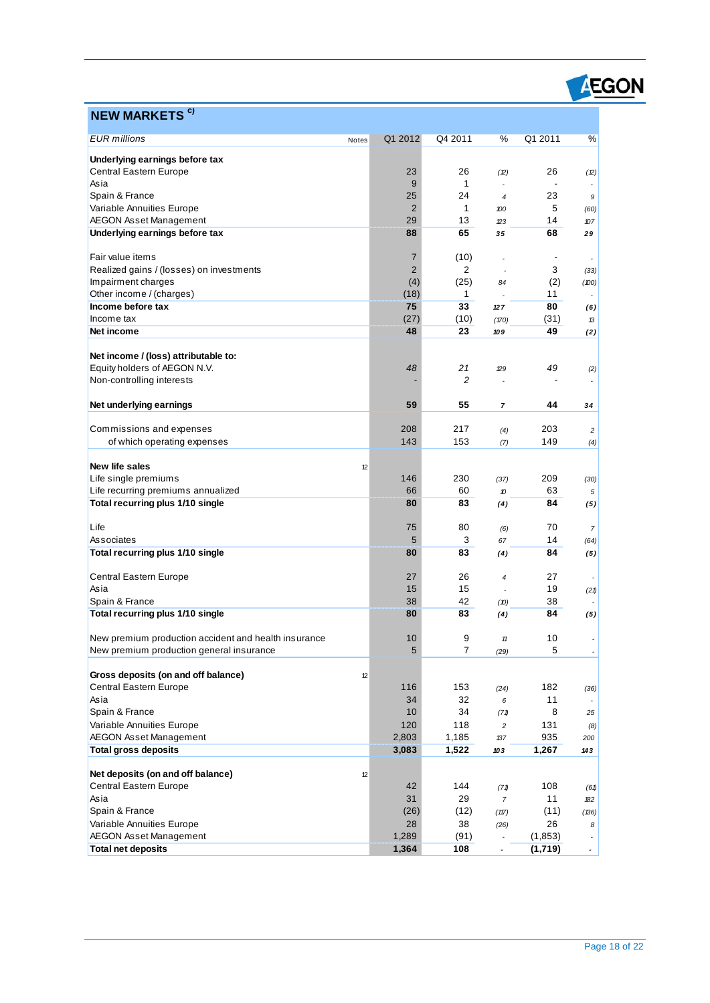

# **NEW MARKETS c)**

 $\overline{a}$ 

| <b>EUR</b> millions                                             | Notes | Q1 2012        | Q4 2011        | %                               | Q1 2011            | $\%$                     |
|-----------------------------------------------------------------|-------|----------------|----------------|---------------------------------|--------------------|--------------------------|
|                                                                 |       |                |                |                                 |                    |                          |
| Underlying earnings before tax<br><b>Central Eastern Europe</b> |       |                |                |                                 |                    |                          |
| Asia                                                            |       | 23<br>9        | 26<br>1        | (2)<br>$\overline{\phantom{a}}$ | 26                 | (2)                      |
| Spain & France                                                  |       | 25             | 24             | $\overline{4}$                  | 23                 | 9                        |
| Variable Annuities Europe                                       |       | $\overline{2}$ | 1              | 100                             | 5                  | (60)                     |
| <b>AEGON Asset Management</b>                                   |       | 29             | 13             | 23                              | 14                 | 107                      |
| Underlying earnings before tax                                  |       | 88             | 65             | 35                              | 68                 | 29                       |
|                                                                 |       |                |                |                                 |                    |                          |
| Fair value items                                                |       | $\overline{7}$ | (10)           |                                 |                    | $\overline{\phantom{a}}$ |
| Realized gains / (losses) on investments                        |       | $\overline{2}$ | $\overline{2}$ |                                 | 3                  | (33)                     |
| Impairment charges                                              |       | (4)            | (25)           | 84                              | (2)                | (100)                    |
| Other income / (charges)                                        |       | (18)           | $\mathbf{1}$   |                                 | 11                 |                          |
| Income before tax                                               |       | 75             | 33             | 127                             | 80                 | (6)                      |
| Income tax<br>Net income                                        |       | (27)<br>48     | (10)<br>23     | (170)<br>109                    | (31)<br>49         | 13                       |
|                                                                 |       |                |                |                                 |                    | (2)                      |
| Net income / (loss) attributable to:                            |       |                |                |                                 |                    |                          |
| Equity holders of AEGON N.V.                                    |       | 48             | 21             | 29                              | 49                 | (2)                      |
| Non-controlling interests                                       |       |                | $\overline{c}$ |                                 |                    |                          |
|                                                                 |       |                |                |                                 |                    |                          |
| Net underlying earnings                                         |       | 59             | 55             | $\overline{ }$                  | 44                 | 34                       |
|                                                                 |       |                |                |                                 |                    |                          |
| Commissions and expenses                                        |       | 208            | 217            | (4)                             | 203                | 2                        |
| of which operating expenses                                     |       | 143            | 153            | (7)                             | 149                | (4)                      |
| <b>New life sales</b>                                           | 12    |                |                |                                 |                    |                          |
| Life single premiums                                            |       | 146            | 230            | (37)                            | 209                | (30)                     |
| Life recurring premiums annualized                              |       | 66             | 60             | 10                              | 63                 | 5                        |
| Total recurring plus 1/10 single                                |       | 80             | 83             | (4)                             | 84                 | (5)                      |
|                                                                 |       |                |                |                                 |                    |                          |
| Life                                                            |       | 75             | 80             | (6)                             | 70                 | 7                        |
| Associates                                                      |       | 5              | 3              | 67                              | 14                 | (64)                     |
| Total recurring plus 1/10 single                                |       | 80             | 83             | (4)                             | 84                 | (5)                      |
| Central Eastern Europe                                          |       | 27             | 26             |                                 | 27                 |                          |
| Asia                                                            |       | 15             | 15             | 4                               | 19                 | (21)                     |
| Spain & France                                                  |       | 38             | 42             | (D)                             | 38                 |                          |
| Total recurring plus 1/10 single                                |       | 80             | 83             | (4)                             | 84                 | (5)                      |
|                                                                 |       |                |                |                                 |                    |                          |
| New premium production accident and health insurance            |       | 10             | 9              | 11                              | 10                 |                          |
| New premium production general insurance                        |       | 5              | $\overline{7}$ | (29)                            | 5                  | $\overline{\phantom{a}}$ |
|                                                                 |       |                |                |                                 |                    |                          |
| Gross deposits (on and off balance)<br>Central Eastern Europe   | 12    |                |                |                                 |                    |                          |
| Asia                                                            |       | 116<br>34      | 153<br>32      | (24)<br>6                       | 182<br>11          | (36)                     |
| Spain & France                                                  |       | 10             | 34             | (71)                            | 8                  | 25                       |
| Variable Annuities Europe                                       |       | 120            | 118            | $\overline{c}$                  | 131                | (8)                      |
| <b>AEGON Asset Management</b>                                   |       | 2,803          | 1,185          | 137                             | 935                | 200                      |
| <b>Total gross deposits</b>                                     |       | 3,083          | 1,522          | 103                             | 1,267              | 143                      |
|                                                                 |       |                |                |                                 |                    |                          |
| Net deposits (on and off balance)                               | 12    |                |                |                                 |                    |                          |
| Central Eastern Europe                                          |       | 42             | 144            | (71)                            | 108                | (61)                     |
| Asia                                                            |       | 31             | 29             | $\overline{7}$                  | 11                 | 182                      |
| Spain & France                                                  |       | (26)           | (12)           | (117)                           | (11)               | (136)                    |
| Variable Annuities Europe                                       |       | 28             | 38             | (26)                            | 26                 | 8                        |
| <b>AEGON Asset Management</b><br><b>Total net deposits</b>      |       | 1,289<br>1,364 | (91)<br>108    |                                 | (1,853)<br>(1,719) |                          |
|                                                                 |       |                |                |                                 |                    |                          |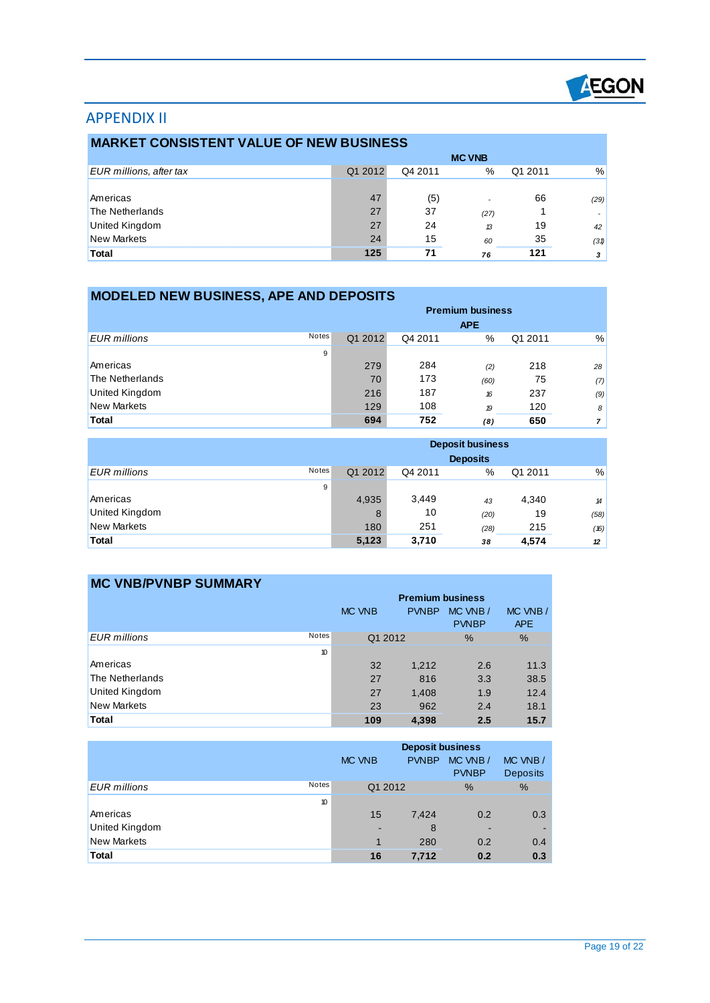

# APPENDIX II

 $\overline{a}$ 

÷

| <b>MARKET CONSISTENT VALUE OF NEW BUSINESS</b> |               |         |      |         |      |  |  |
|------------------------------------------------|---------------|---------|------|---------|------|--|--|
|                                                | <b>MC VNB</b> |         |      |         |      |  |  |
| <b>EUR</b> millions, after tax                 | Q1 2012       | Q4 2011 | %    | Q1 2011 | $\%$ |  |  |
|                                                |               |         |      |         |      |  |  |
| Americas                                       | 47            | (5)     |      | 66      | (29) |  |  |
| The Netherlands                                | 27            | 37      | (27) |         |      |  |  |
| United Kingdom                                 | 27            | 24      | 13   | 19      | 42   |  |  |
| New Markets                                    | 24            | 15      | 60   | 35      | (31) |  |  |
| <b>Total</b>                                   | 125           | 71      | 76   | 121     | 3    |  |  |

| <b>MODELED NEW BUSINESS, APE AND DEPOSITS</b> |       |                         |         |                  |         |                |  |
|-----------------------------------------------|-------|-------------------------|---------|------------------|---------|----------------|--|
|                                               |       | <b>Premium business</b> |         |                  |         |                |  |
|                                               |       |                         |         | <b>APE</b>       |         |                |  |
| EUR millions                                  | Notes | Q1 2012                 | Q4 2011 | %                | Q1 2011 | %              |  |
|                                               | 9     |                         |         |                  |         |                |  |
| Americas                                      |       | 279                     | 284     | (2)              | 218     | 28             |  |
| The Netherlands                               |       | 70                      | 173     | (60)             | 75      | (7)            |  |
| <b>United Kingdom</b>                         |       | 216                     | 187     | 16               | 237     | (9)            |  |
| <b>New Markets</b>                            |       | 129                     | 108     | $\boldsymbol{p}$ | 120     | 8 <sup>1</sup> |  |
| <b>Total</b>                                  |       | 694                     | 752     | (8)              | 650     |                |  |

|                       |       | <b>Deposit business</b><br><b>Deposits</b> |         |      |         |      |  |
|-----------------------|-------|--------------------------------------------|---------|------|---------|------|--|
| <b>EUR</b> millions   | Notes | Q1 2012                                    | Q4 2011 | %    | Q1 2011 | %    |  |
|                       | 9     |                                            |         |      |         |      |  |
| Americas              |       | 4,935                                      | 3,449   | 43   | 4,340   | 14   |  |
| <b>United Kingdom</b> |       | 8                                          | 10      | (20) | 19      | (58) |  |
| <b>New Markets</b>    |       | 180                                        | 251     | (28) | 215     | (16) |  |
| <b>Total</b>          |       | 5,123                                      | 3,710   | 38   | 4,574   | 12   |  |

| <b>MC VNB/PVNBP SUMMARY</b> |              |                         |              |                         |                       |  |
|-----------------------------|--------------|-------------------------|--------------|-------------------------|-----------------------|--|
|                             |              | <b>Premium business</b> |              |                         |                       |  |
|                             |              | MC VNB                  | <b>PVNBP</b> | MC VNB/<br><b>PVNBP</b> | MC VNB/<br><b>APE</b> |  |
| EUR millions                | <b>Notes</b> | Q1 2012                 |              | $\frac{0}{0}$           | $\frac{0}{0}$         |  |
|                             | 10           |                         |              |                         |                       |  |
| Americas                    |              | 32                      | 1,212        | 2.6                     | 11.3                  |  |
| The Netherlands             |              | 27                      | 816          | 3.3                     | 38.5                  |  |
| United Kingdom              |              | 27                      | 1,408        | 1.9                     | 12.4                  |  |
| <b>New Markets</b>          |              | 23                      | 962          | 2.4                     | 18.1                  |  |
| <b>Total</b>                |              | 109                     | 4,398        | 2.5                     | 15.7                  |  |

|                       |              | <b>Deposit business</b><br><b>PVNBP</b><br>MC VNB/<br>MC VNB<br><b>PVNBP</b> |         |     | MC VNB/<br><b>Deposits</b> |
|-----------------------|--------------|------------------------------------------------------------------------------|---------|-----|----------------------------|
| EUR millions          | <b>Notes</b> |                                                                              | Q1 2012 | %   | $\frac{0}{0}$              |
|                       | 10           |                                                                              |         |     |                            |
| Americas              |              | 15                                                                           | 7,424   | 0.2 | 0.3                        |
| <b>United Kingdom</b> |              | -                                                                            | 8       | -   |                            |
| <b>New Markets</b>    |              | 1                                                                            | 280     | 0.2 | 0.4                        |
| <b>Total</b>          |              | 16                                                                           | 7.712   | 0.2 | 0.3                        |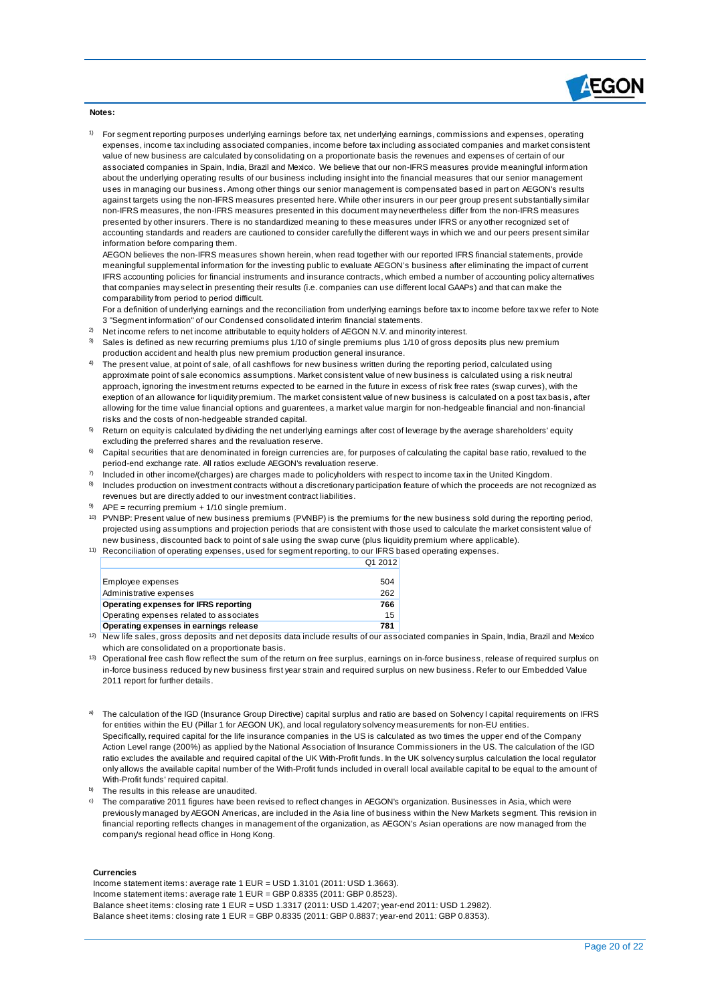

**Notes:**

 $\overline{a}$ 

1) For segment reporting purposes underlying earnings before tax, net underlying earnings, commissions and expenses, operating expenses, income tax including associated companies, income before tax including associated companies and market consistent value of new business are calculated by consolidating on a proportionate basis the revenues and expenses of certain of our associated companies in Spain, India, Brazil and Mexico. We believe that our non-IFRS measures provide meaningful information about the underlying operating results of our business including insight into the financial measures that our senior management uses in managing our business. Among other things our senior management is compensated based in part on AEGON's results against targets using the non-IFRS measures presented here. While other insurers in our peer group present substantially similar non-IFRS measures, the non-IFRS measures presented in this document may nevertheless differ from the non-IFRS measures presented by other insurers. There is no standardized meaning to these measures under IFRS or any other recognized set of accounting standards and readers are cautioned to consider carefully the different ways in which we and our peers present similar information before comparing them.

AEGON believes the non-IFRS measures shown herein, when read together with our reported IFRS financial statements, provide meaningful supplemental information for the investing public to evaluate AEGON's business after eliminating the impact of current IFRS accounting policies for financial instruments and insurance contracts, which embed a number of accounting policy alternatives that companies may select in presenting their results (i.e. companies can use different local GAAPs) and that can make the comparability from period to period difficult.

For a definition of underlying earnings and the reconciliation from underlying earnings before tax to income before tax we refer to Note 3 "Segment information" of our Condensed consolidated interim financial statements.

- <sup>2)</sup> Net income refers to net income attributable to equity holders of AEGON N.V. and minority interest.
- 3) Sales is defined as new recurring premiums plus 1/10 of single premiums plus 1/10 of gross deposits plus new premium production accident and health plus new premium production general insurance.
- 4) The present value, at point of sale, of all cashflows for new business written during the reporting period, calculated using approximate point of sale economics assumptions. Market consistent value of new business is calculated using a risk neutral approach, ignoring the investment returns expected to be earned in the future in excess of risk free rates (swap curves), with the exeption of an allowance for liquidity premium. The market consistent value of new business is calculated on a post tax basis, after allowing for the time value financial options and guarentees, a market value margin for non-hedgeable financial and non-financial risks and the costs of non-hedgeable stranded capital.
- <sup>5)</sup> Return on equity is calculated by dividing the net underlying earnings after cost of leverage by the average shareholders' equity excluding the preferred shares and the revaluation reserve.
- $6$  Capital securities that are denominated in foreign currencies are, for purposes of calculating the capital base ratio, revalued to the period-end exchange rate. All ratios exclude AEGON's revaluation reserve.
- 7) Included in other income/(charges) are charges made to policyholders with respect to income tax in the United Kingdom.
- 8) Includes production on investment contracts without a discretionary participation feature of which the proceeds are not recognized as revenues but are directly added to our investment contract liabilities.
- $9$  APE = recurring premium + 1/10 single premium.
- 10) PVNBP: Present value of new business premiums (PVNBP) is the premiums for the new business sold during the reporting period, projected using assumptions and projection periods that are consistent with those used to calculate the market consistent value of new business, discounted back to point of sale using the swap curve (plus liquidity premium where applicable).
- 11) Reconciliation of operating expenses, used for segment reporting, to our IFRS based operating expenses. Q1 2012

| Employee expenses                        | 504 |
|------------------------------------------|-----|
| Administrative expenses                  | 262 |
| Operating expenses for IFRS reporting    | 766 |
| Operating expenses related to associates | 15  |
| Operating expenses in earnings release   | 781 |

<sup>12)</sup> New life sales, gross deposits and net deposits data include results of our associated companies in Spain, India, Brazil and Mexico which are consolidated on a proportionate basis.

- <sup>13)</sup> Operational free cash flow reflect the sum of the return on free surplus, earnings on in-force business, release of required surplus on in-force business reduced by new business first year strain and required surplus on new business. Refer to our Embedded Value 2011 report for further details.
- a) The calculation of the IGD (Insurance Group Directive) capital surplus and ratio are based on Solvency I capital requirements on IFRS for entities within the EU (Pillar 1 for AEGON UK), and local regulatory solvency measurements for non-EU entities. Specifically, required capital for the life insurance companies in the US is calculated as two times the upper end of the Company Action Level range (200%) as applied by the National Association of Insurance Commissioners in the US. The calculation of the IGD ratio excludes the available and required capital of the UK With-Profit funds. In the UK solvency surplus calculation the local regulator only allows the available capital number of the With-Profit funds included in overall local available capital to be equal to the amount of With-Profit funds' required capital.
- b) The results in this release are unaudited.
- c) The comparative 2011 figures have been revised to reflect changes in AEGON's organization. Businesses in Asia, which were previously managed by AEGON Americas, are included in the Asia line of business within the New Markets segment. This revision in financial reporting reflects changes in management of the organization, as AEGON's Asian operations are now managed from the company's regional head office in Hong Kong.

#### **Currencies**

Income statement items: average rate 1 EUR = USD 1.3101 (2011: USD 1.3663). Income statement items: average rate 1 EUR = GBP 0.8335 (2011: GBP 0.8523). Balance sheet items: closing rate 1 EUR = USD 1.3317 (2011: USD 1.4207; year-end 2011: USD 1.2982). Balance sheet items: closing rate 1 EUR = GBP 0.8335 (2011: GBP 0.8837; year-end 2011: GBP 0.8353).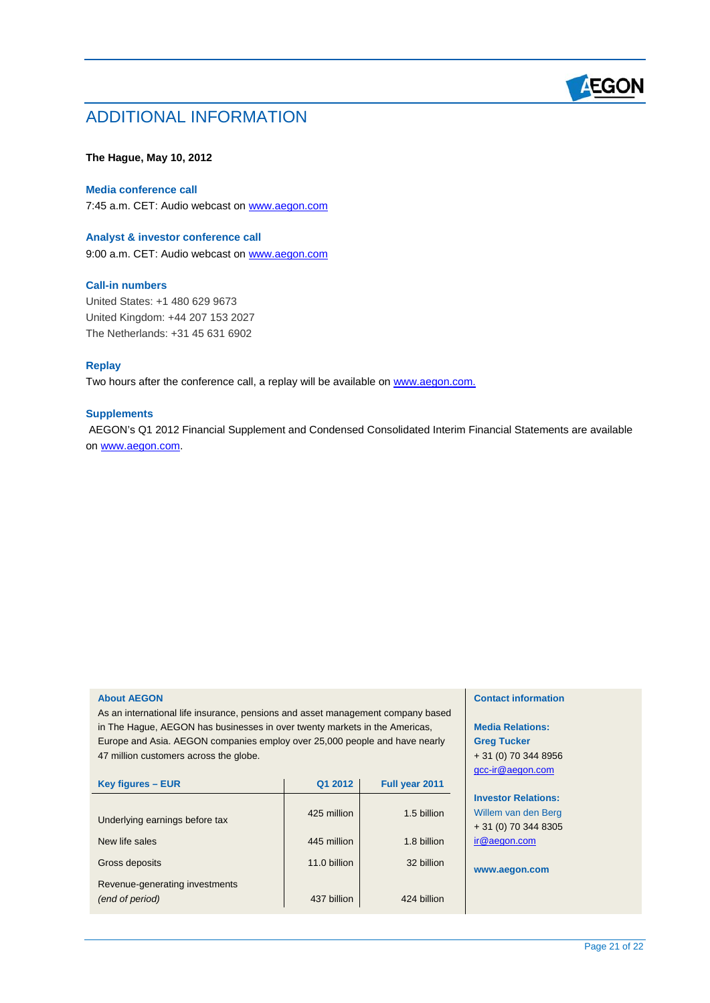

# ADDITIONAL INFORMATION

### **The Hague, May 10, 2012**

## **Media conference call**

7:45 a.m. CET: Audio webcast on [www.aegon.com](http://www.aegon.com/)

#### **Analyst & investor conference call**

9:00 a.m. CET: Audio webcast on [www.aegon.com](http://www.aegon.com/)

#### **Call-in numbers**

United States: +1 480 629 9673 United Kingdom: +44 207 153 2027 The Netherlands: +31 45 631 6902

# **Replay**

 $\overline{a}$ 

Two hours after the conference call, a replay will be available on www.aegon.com.

# **Supplements**

AEGON's Q1 2012 Financial Supplement and Condensed Consolidated Interim Financial Statements are available on [www.aegon.com](http://www.aegon.com/).

#### **About AEGON**

As an international life insurance, pensions and asset management company based in The Hague, AEGON has businesses in over twenty markets in the Americas, Europe and Asia. AEGON companies employ over 25,000 people and have nearly 47 million customers across the globe.

| Key figures – EUR                                 | Q1 2012      | Full year 2011 |
|---------------------------------------------------|--------------|----------------|
| Underlying earnings before tax                    | 425 million  | 1.5 billion    |
| New life sales                                    | 445 million  | 1.8 billion    |
| Gross deposits                                    | 11.0 billion | 32 billion     |
| Revenue-generating investments<br>(end of period) | 437 billion  | 424 billion    |

## **Contact information**

**Media Relations: Greg Tucker**  + 31 (0) 70 344 8956 gcc-ir@aegon.com

# **Investor Relations:**  Willem van den Berg

+ 31 (0) 70 344 8305 ir@aegon.com

**www.aegon.com**